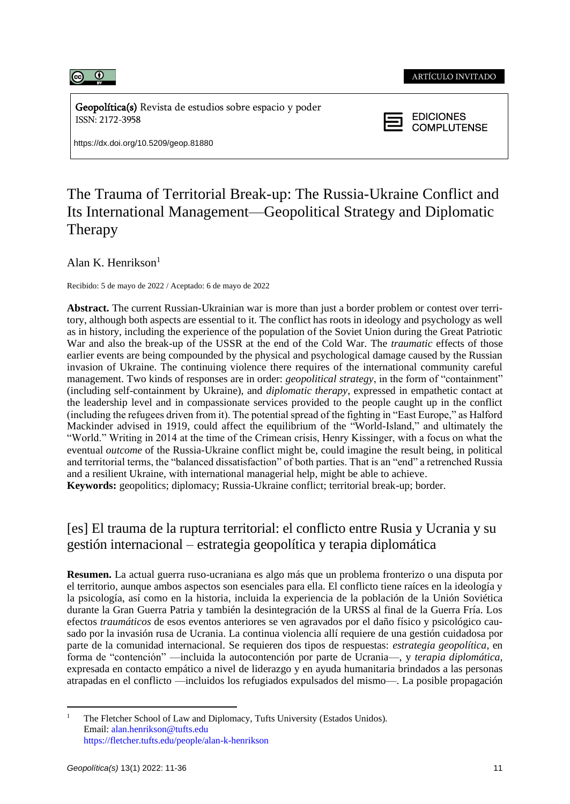

Geopolítica(s) Revista de estudios sobre espacio y poder ISSN: 2172-3958

https://dx.doi.org/10.5209/geop.81880



# The Trauma of Territorial Break-up: The Russia-Ukraine Conflict and Its International Management—Geopolitical Strategy and Diplomatic Therapy

Alan K. Henrikson $<sup>1</sup>$ </sup>

Recibido: 5 de mayo de 2022 / Aceptado: 6 de mayo de 2022

**Abstract.** The current Russian-Ukrainian war is more than just a border problem or contest over territory, although both aspects are essential to it. The conflict has roots in ideology and psychology as well as in history, including the experience of the population of the Soviet Union during the Great Patriotic War and also the break-up of the USSR at the end of the Cold War. The *traumatic* effects of those earlier events are being compounded by the physical and psychological damage caused by the Russian invasion of Ukraine. The continuing violence there requires of the international community careful management. Two kinds of responses are in order: *geopolitical strategy*, in the form of "containment" (including self-containment by Ukraine), and *diplomatic therapy*, expressed in empathetic contact at the leadership level and in compassionate services provided to the people caught up in the conflict (including the refugees driven from it). The potential spread of the fighting in "East Europe," as Halford Mackinder advised in 1919, could affect the equilibrium of the "World-Island," and ultimately the "World." Writing in 2014 at the time of the Crimean crisis, Henry Kissinger, with a focus on what the eventual *outcome* of the Russia-Ukraine conflict might be, could imagine the result being, in political and territorial terms, the "balanced dissatisfaction" of both parties. That is an "end" a retrenched Russia and a resilient Ukraine, with international managerial help, might be able to achieve.

**Keywords:** geopolitics; diplomacy; Russia-Ukraine conflict; territorial break-up; border.

## [es] El trauma de la ruptura territorial: el conflicto entre Rusia y Ucrania y su gestión internacional – estrategia geopolítica y terapia diplomática

**Resumen.** La actual guerra ruso-ucraniana es algo más que un problema fronterizo o una disputa por el territorio, aunque ambos aspectos son esenciales para ella. El conflicto tiene raíces en la ideología y la psicología, así como en la historia, incluida la experiencia de la población de la Unión Soviética durante la Gran Guerra Patria y también la desintegración de la URSS al final de la Guerra Fría. Los efectos *traumáticos* de esos eventos anteriores se ven agravados por el daño físico y psicológico causado por la invasión rusa de Ucrania. La continua violencia allí requiere de una gestión cuidadosa por parte de la comunidad internacional. Se requieren dos tipos de respuestas: *estrategia geopolítica*, en forma de "contención" —incluida la autocontención por parte de Ucrania—, y *terapia diplomática*, expresada en contacto empático a nivel de liderazgo y en ayuda humanitaria brindados a las personas atrapadas en el conflicto —incluidos los refugiados expulsados del mismo—. La posible propagación

The Fletcher School of Law and Diplomacy, Tufts University (Estados Unidos). Email: alan.henrikson@tufts.edu https://fletcher.tufts.edu/people/alan-k-henrikson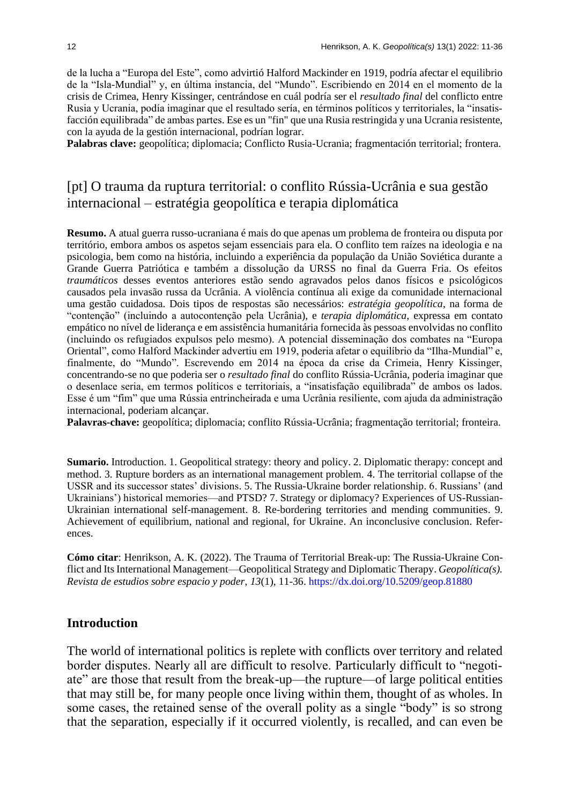de la lucha a "Europa del Este", como advirtió Halford Mackinder en 1919, podría afectar el equilibrio de la "Isla-Mundial" y, en última instancia, del "Mundo". Escribiendo en 2014 en el momento de la crisis de Crimea, Henry Kissinger, centrándose en cuál podría ser el *resultado final* del conflicto entre Rusia y Ucrania, podía imaginar que el resultado sería, en términos políticos y territoriales, la "insatisfacción equilibrada" de ambas partes. Ese es un "fin" que una Rusia restringida y una Ucrania resistente, con la ayuda de la gestión internacional, podrían lograr.

**Palabras clave:** geopolítica; diplomacia; Conflicto Rusia-Ucrania; fragmentación territorial; frontera.

## [pt] O trauma da ruptura territorial: o conflito Rússia-Ucrânia e sua gestão internacional – estratégia geopolítica e terapia diplomática

**Resumo.** A atual guerra russo-ucraniana é mais do que apenas um problema de fronteira ou disputa por território, embora ambos os aspetos sejam essenciais para ela. O conflito tem raízes na ideologia e na psicologia, bem como na história, incluindo a experiência da população da União Soviética durante a Grande Guerra Patriótica e também a dissolução da URSS no final da Guerra Fria. Os efeitos *traumáticos* desses eventos anteriores estão sendo agravados pelos danos físicos e psicológicos causados pela invasão russa da Ucrânia. A violência contínua ali exige da comunidade internacional uma gestão cuidadosa. Dois tipos de respostas são necessários: *estratégia geopolítica*, na forma de "contenção" (incluindo a autocontenção pela Ucrânia), e *terapia diplomática*, expressa em contato empático no nível de liderança e em assistência humanitária fornecida às pessoas envolvidas no conflito (incluindo os refugiados expulsos pelo mesmo). A potencial disseminação dos combates na "Europa Oriental", como Halford Mackinder advertiu em 1919, poderia afetar o equilíbrio da "Ilha-Mundial" e, finalmente, do "Mundo". Escrevendo em 2014 na época da crise da Crimeia, Henry Kissinger, concentrando-se no que poderia ser o *resultado final* do conflito Rússia-Ucrânia, poderia imaginar que o desenlace seria, em termos políticos e territoriais, a "insatisfação equilibrada" de ambos os lados. Esse é um "fim" que uma Rússia entrincheirada e uma Ucrânia resiliente, com ajuda da administração internacional, poderiam alcançar.

**Palavras-chave:** geopolítica; diplomacia; conflito Rússia-Ucrânia; fragmentação territorial; fronteira.

**Sumario.** Introduction. 1. Geopolitical strategy: theory and policy. 2. Diplomatic therapy: concept and method. 3. Rupture borders as an international management problem. 4. The territorial collapse of the USSR and its successor states' divisions. 5. The Russia-Ukraine border relationship. 6. Russians' (and Ukrainians') historical memories—and PTSD? 7. Strategy or diplomacy? Experiences of US-Russian-Ukrainian international self-management. 8. Re-bordering territories and mending communities. 9. Achievement of equilibrium, national and regional, for Ukraine. An inconclusive conclusion. References.

**Cómo citar**: Henrikson, A. K. (2022). The Trauma of Territorial Break-up: The Russia-Ukraine Conflict and Its International Management—Geopolitical Strategy and Diplomatic Therapy. *Geopolítica(s). Revista de estudios sobre espacio y poder*, *13*(1), 11-36. https://dx.doi.org/10.5209/geop.81880

### **Introduction**

The world of international politics is replete with conflicts over territory and related border disputes. Nearly all are difficult to resolve. Particularly difficult to "negotiate" are those that result from the break-up—the rupture—of large political entities that may still be, for many people once living within them, thought of as wholes. In some cases, the retained sense of the overall polity as a single "body" is so strong that the separation, especially if it occurred violently, is recalled, and can even be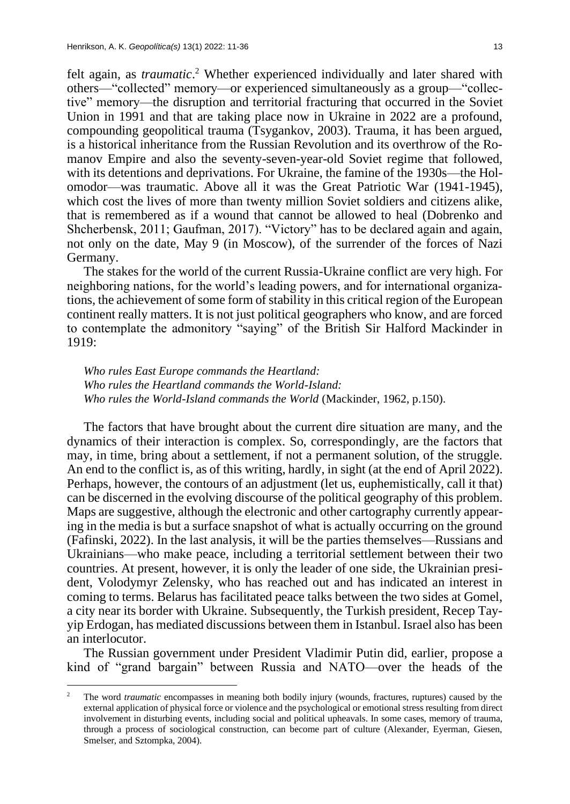felt again, as *traumatic*. <sup>2</sup> Whether experienced individually and later shared with others—"collected" memory—or experienced simultaneously as a group—"collective" memory—the disruption and territorial fracturing that occurred in the Soviet Union in 1991 and that are taking place now in Ukraine in 2022 are a profound, compounding geopolitical trauma (Tsygankov, 2003). Trauma, it has been argued, is a historical inheritance from the Russian Revolution and its overthrow of the Romanov Empire and also the seventy-seven-year-old Soviet regime that followed, with its detentions and deprivations. For Ukraine, the famine of the 1930s—the Holomodor—was traumatic. Above all it was the Great Patriotic War (1941-1945), which cost the lives of more than twenty million Soviet soldiers and citizens alike, that is remembered as if a wound that cannot be allowed to heal (Dobrenko and Shcherbensk, 2011; Gaufman, 2017). "Victory" has to be declared again and again, not only on the date, May 9 (in Moscow), of the surrender of the forces of Nazi Germany.

The stakes for the world of the current Russia-Ukraine conflict are very high. For neighboring nations, for the world's leading powers, and for international organizations, the achievement of some form of stability in this critical region of the European continent really matters. It is not just political geographers who know, and are forced to contemplate the admonitory "saying" of the British Sir Halford Mackinder in 1919:

*Who rules East Europe commands the Heartland: Who rules the Heartland commands the World-Island: Who rules the World-Island commands the World* (Mackinder, 1962, p.150)*.*

The factors that have brought about the current dire situation are many, and the dynamics of their interaction is complex. So, correspondingly, are the factors that may, in time, bring about a settlement, if not a permanent solution, of the struggle. An end to the conflict is, as of this writing, hardly, in sight (at the end of April 2022). Perhaps, however, the contours of an adjustment (let us, euphemistically, call it that) can be discerned in the evolving discourse of the political geography of this problem. Maps are suggestive, although the electronic and other cartography currently appearing in the media is but a surface snapshot of what is actually occurring on the ground (Fafinski, 2022). In the last analysis, it will be the parties themselves—Russians and Ukrainians—who make peace, including a territorial settlement between their two countries. At present, however, it is only the leader of one side, the Ukrainian president, Volodymyr Zelensky, who has reached out and has indicated an interest in coming to terms. Belarus has facilitated peace talks between the two sides at Gomel, a city near its border with Ukraine. Subsequently, the Turkish president, Recep Tayyip Erdogan, has mediated discussions between them in Istanbul. Israel also has been an interlocutor.

The Russian government under President Vladimir Putin did, earlier, propose a kind of "grand bargain" between Russia and NATO—over the heads of the

<sup>&</sup>lt;sup>2</sup> The word *traumatic* encompasses in meaning both bodily injury (wounds, fractures, ruptures) caused by the external application of physical force or violence and the psychological or emotional stress resulting from direct involvement in disturbing events, including social and political upheavals. In some cases, memory of trauma, through a process of sociological construction, can become part of culture (Alexander, Eyerman, Giesen, Smelser, and Sztompka, 2004).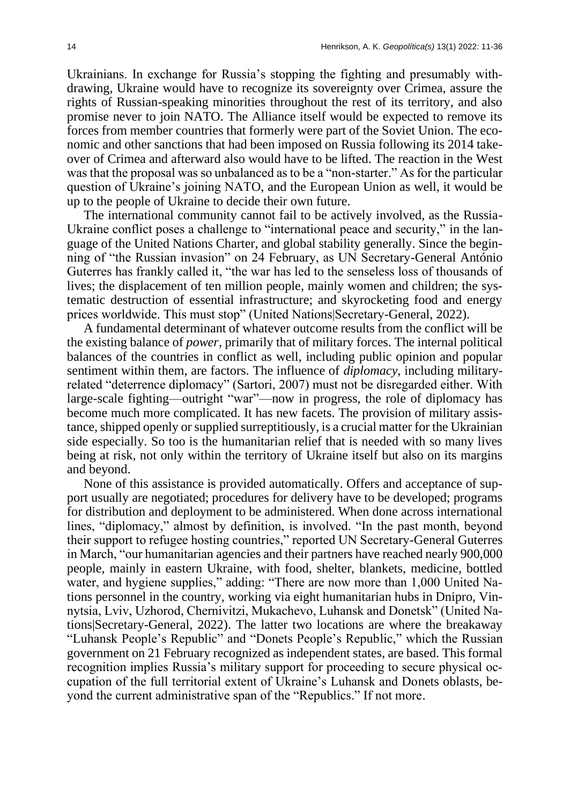Ukrainians. In exchange for Russia's stopping the fighting and presumably withdrawing, Ukraine would have to recognize its sovereignty over Crimea, assure the rights of Russian-speaking minorities throughout the rest of its territory, and also promise never to join NATO. The Alliance itself would be expected to remove its forces from member countries that formerly were part of the Soviet Union. The economic and other sanctions that had been imposed on Russia following its 2014 takeover of Crimea and afterward also would have to be lifted. The reaction in the West was that the proposal was so unbalanced as to be a "non-starter." As for the particular question of Ukraine's joining NATO, and the European Union as well, it would be up to the people of Ukraine to decide their own future.

The international community cannot fail to be actively involved, as the Russia-Ukraine conflict poses a challenge to "international peace and security," in the language of the United Nations Charter, and global stability generally. Since the beginning of "the Russian invasion" on 24 February, as UN Secretary-General António Guterres has frankly called it, "the war has led to the senseless loss of thousands of lives; the displacement of ten million people, mainly women and children; the systematic destruction of essential infrastructure; and skyrocketing food and energy prices worldwide. This must stop" (United Nations|Secretary-General, 2022).

A fundamental determinant of whatever outcome results from the conflict will be the existing balance of *power*, primarily that of military forces. The internal political balances of the countries in conflict as well, including public opinion and popular sentiment within them, are factors. The influence of *diplomacy*, including militaryrelated "deterrence diplomacy" (Sartori, 2007) must not be disregarded either. With large-scale fighting—outright "war"—now in progress, the role of diplomacy has become much more complicated. It has new facets. The provision of military assistance, shipped openly or supplied surreptitiously, is a crucial matter for the Ukrainian side especially. So too is the humanitarian relief that is needed with so many lives being at risk, not only within the territory of Ukraine itself but also on its margins and beyond.

None of this assistance is provided automatically. Offers and acceptance of support usually are negotiated; procedures for delivery have to be developed; programs for distribution and deployment to be administered. When done across international lines, "diplomacy," almost by definition, is involved. "In the past month, beyond their support to refugee hosting countries," reported UN Secretary-General Guterres in March, "our humanitarian agencies and their partners have reached nearly 900,000 people, mainly in eastern Ukraine, with food, shelter, blankets, medicine, bottled water, and hygiene supplies," adding: "There are now more than 1,000 United Nations personnel in the country, working via eight humanitarian hubs in Dnipro, Vinnytsia, Lviv, Uzhorod, Chernivitzi, Mukachevo, Luhansk and Donetsk" (United Nations|Secretary-General, 2022). The latter two locations are where the breakaway "Luhansk People's Republic" and "Donets People's Republic," which the Russian government on 21 February recognized as independent states, are based. This formal recognition implies Russia's military support for proceeding to secure physical occupation of the full territorial extent of Ukraine's Luhansk and Donets oblasts, beyond the current administrative span of the "Republics." If not more.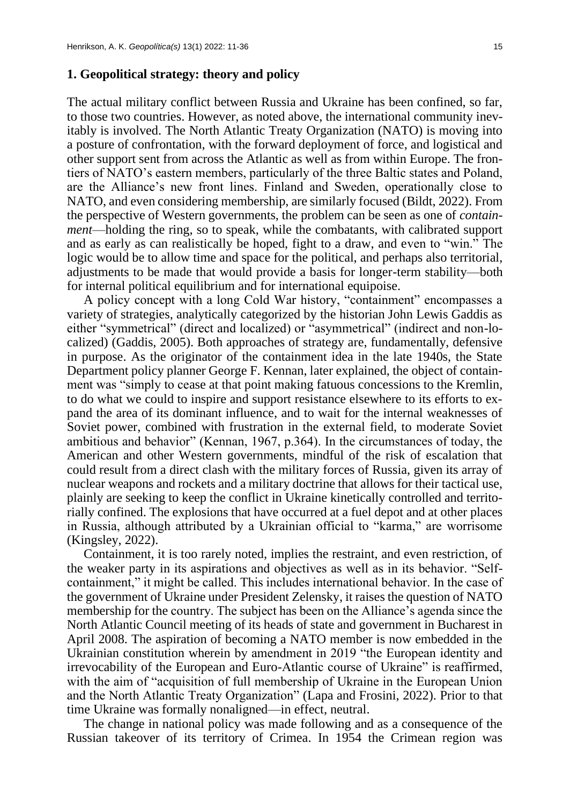## **1. Geopolitical strategy: theory and policy**

The actual military conflict between Russia and Ukraine has been confined, so far, to those two countries. However, as noted above, the international community inevitably is involved. The North Atlantic Treaty Organization (NATO) is moving into a posture of confrontation, with the forward deployment of force, and logistical and other support sent from across the Atlantic as well as from within Europe. The frontiers of NATO's eastern members, particularly of the three Baltic states and Poland, are the Alliance's new front lines. Finland and Sweden, operationally close to NATO, and even considering membership, are similarly focused (Bildt, 2022). From the perspective of Western governments, the problem can be seen as one of *containment*—holding the ring, so to speak, while the combatants, with calibrated support and as early as can realistically be hoped, fight to a draw, and even to "win." The logic would be to allow time and space for the political, and perhaps also territorial, adjustments to be made that would provide a basis for longer-term stability—both for internal political equilibrium and for international equipoise.

A policy concept with a long Cold War history, "containment" encompasses a variety of strategies, analytically categorized by the historian John Lewis Gaddis as either "symmetrical" (direct and localized) or "asymmetrical" (indirect and non-localized) (Gaddis, 2005). Both approaches of strategy are, fundamentally, defensive in purpose. As the originator of the containment idea in the late 1940s, the State Department policy planner George F. Kennan, later explained, the object of containment was "simply to cease at that point making fatuous concessions to the Kremlin, to do what we could to inspire and support resistance elsewhere to its efforts to expand the area of its dominant influence, and to wait for the internal weaknesses of Soviet power, combined with frustration in the external field, to moderate Soviet ambitious and behavior" (Kennan, 1967, p.364). In the circumstances of today, the American and other Western governments, mindful of the risk of escalation that could result from a direct clash with the military forces of Russia, given its array of nuclear weapons and rockets and a military doctrine that allows for their tactical use, plainly are seeking to keep the conflict in Ukraine kinetically controlled and territorially confined. The explosions that have occurred at a fuel depot and at other places in Russia, although attributed by a Ukrainian official to "karma," are worrisome (Kingsley, 2022).

Containment, it is too rarely noted, implies the restraint, and even restriction, of the weaker party in its aspirations and objectives as well as in its behavior. "Selfcontainment," it might be called. This includes international behavior. In the case of the government of Ukraine under President Zelensky, it raises the question of NATO membership for the country. The subject has been on the Alliance's agenda since the North Atlantic Council meeting of its heads of state and government in Bucharest in April 2008. The aspiration of becoming a NATO member is now embedded in the Ukrainian constitution wherein by amendment in 2019 "the European identity and irrevocability of the European and Euro-Atlantic course of Ukraine" is reaffirmed, with the aim of "acquisition of full membership of Ukraine in the European Union and the North Atlantic Treaty Organization" (Lapa and Frosini, 2022). Prior to that time Ukraine was formally nonaligned—in effect, neutral.

The change in national policy was made following and as a consequence of the Russian takeover of its territory of Crimea. In 1954 the Crimean region was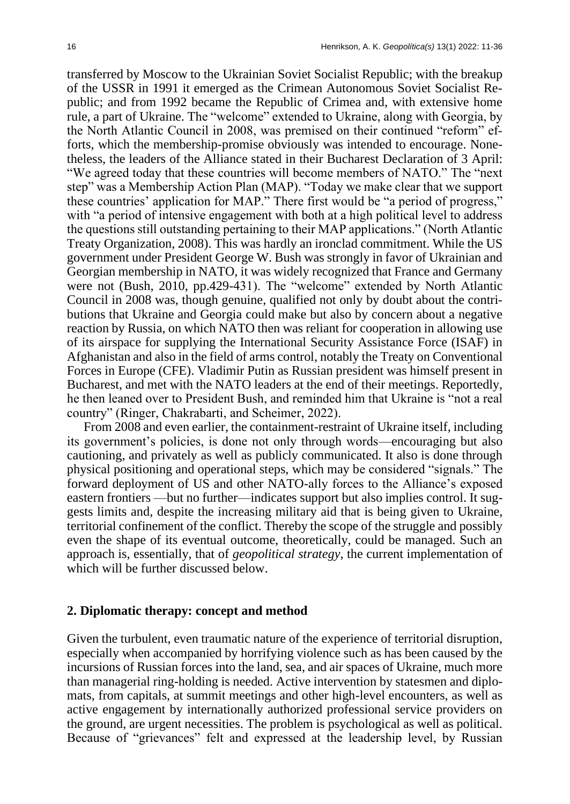transferred by Moscow to the Ukrainian Soviet Socialist Republic; with the breakup of the USSR in 1991 it emerged as the Crimean Autonomous Soviet Socialist Republic; and from 1992 became the Republic of Crimea and, with extensive home rule, a part of Ukraine. The "welcome" extended to Ukraine, along with Georgia, by the North Atlantic Council in 2008, was premised on their continued "reform" efforts, which the membership-promise obviously was intended to encourage. Nonetheless, the leaders of the Alliance stated in their Bucharest Declaration of 3 April: "We agreed today that these countries will become members of NATO." The "next step" was a Membership Action Plan (MAP). "Today we make clear that we support these countries' application for MAP." There first would be "a period of progress," with "a period of intensive engagement with both at a high political level to address the questions still outstanding pertaining to their MAP applications." (North Atlantic Treaty Organization, 2008). This was hardly an ironclad commitment. While the US government under President George W. Bush was strongly in favor of Ukrainian and Georgian membership in NATO, it was widely recognized that France and Germany were not (Bush, 2010, pp.429-431). The "welcome" extended by North Atlantic Council in 2008 was, though genuine, qualified not only by doubt about the contributions that Ukraine and Georgia could make but also by concern about a negative reaction by Russia, on which NATO then was reliant for cooperation in allowing use of its airspace for supplying the International Security Assistance Force (ISAF) in Afghanistan and also in the field of arms control, notably the Treaty on Conventional Forces in Europe (CFE). Vladimir Putin as Russian president was himself present in Bucharest, and met with the NATO leaders at the end of their meetings. Reportedly, he then leaned over to President Bush, and reminded him that Ukraine is "not a real country" (Ringer, Chakrabarti, and Scheimer, 2022).

From 2008 and even earlier, the containment-restraint of Ukraine itself, including its government's policies, is done not only through words—encouraging but also cautioning, and privately as well as publicly communicated. It also is done through physical positioning and operational steps, which may be considered "signals." The forward deployment of US and other NATO-ally forces to the Alliance's exposed eastern frontiers —but no further—indicates support but also implies control. It suggests limits and, despite the increasing military aid that is being given to Ukraine, territorial confinement of the conflict. Thereby the scope of the struggle and possibly even the shape of its eventual outcome, theoretically, could be managed. Such an approach is, essentially, that of *geopolitical strategy*, the current implementation of which will be further discussed below.

#### **2. Diplomatic therapy: concept and method**

Given the turbulent, even traumatic nature of the experience of territorial disruption, especially when accompanied by horrifying violence such as has been caused by the incursions of Russian forces into the land, sea, and air spaces of Ukraine, much more than managerial ring-holding is needed. Active intervention by statesmen and diplomats, from capitals, at summit meetings and other high-level encounters, as well as active engagement by internationally authorized professional service providers on the ground, are urgent necessities. The problem is psychological as well as political. Because of "grievances" felt and expressed at the leadership level, by Russian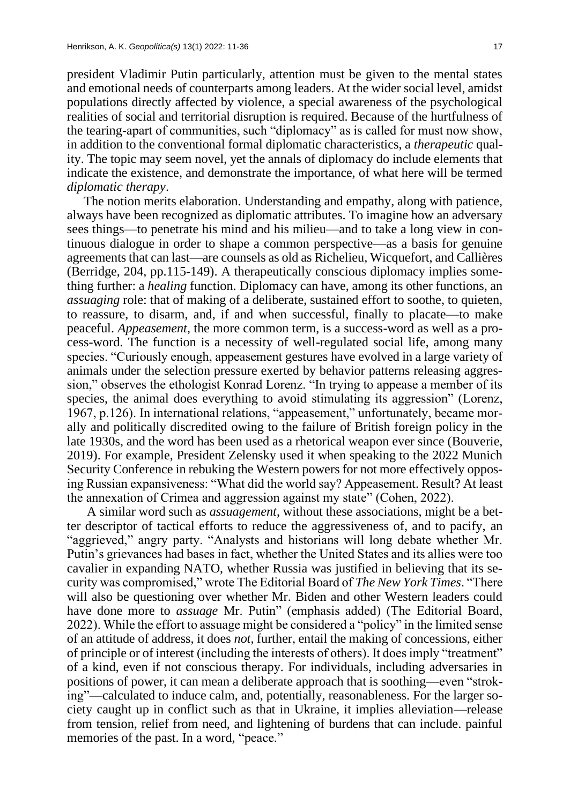president Vladimir Putin particularly, attention must be given to the mental states and emotional needs of counterparts among leaders. At the wider social level, amidst populations directly affected by violence, a special awareness of the psychological realities of social and territorial disruption is required. Because of the hurtfulness of the tearing-apart of communities, such "diplomacy" as is called for must now show, in addition to the conventional formal diplomatic characteristics, a *therapeutic* quality. The topic may seem novel, yet the annals of diplomacy do include elements that indicate the existence, and demonstrate the importance, of what here will be termed *diplomatic therapy*.

The notion merits elaboration. Understanding and empathy, along with patience, always have been recognized as diplomatic attributes. To imagine how an adversary sees things—to penetrate his mind and his milieu—and to take a long view in continuous dialogue in order to shape a common perspective—as a basis for genuine agreements that can last—are counsels as old as Richelieu, Wicquefort, and Callières (Berridge, 204, pp.115-149). A therapeutically conscious diplomacy implies something further: a *healing* function. Diplomacy can have, among its other functions, an *assuaging role: that of making of a deliberate, sustained effort to soothe, to quieten,* to reassure, to disarm, and, if and when successful, finally to placate—to make peaceful. *Appeasement*, the more common term, is a success-word as well as a process-word. The function is a necessity of well-regulated social life, among many species. "Curiously enough, appeasement gestures have evolved in a large variety of animals under the selection pressure exerted by behavior patterns releasing aggression," observes the ethologist Konrad Lorenz. "In trying to appease a member of its species, the animal does everything to avoid stimulating its aggression" (Lorenz, 1967, p.126). In international relations, "appeasement," unfortunately, became morally and politically discredited owing to the failure of British foreign policy in the late 1930s, and the word has been used as a rhetorical weapon ever since (Bouverie, 2019). For example, President Zelensky used it when speaking to the 2022 Munich Security Conference in rebuking the Western powers for not more effectively opposing Russian expansiveness: "What did the world say? Appeasement. Result? At least the annexation of Crimea and aggression against my state" (Cohen, 2022).

A similar word such as *assuagement*, without these associations, might be a better descriptor of tactical efforts to reduce the aggressiveness of, and to pacify, an "aggrieved," angry party. "Analysts and historians will long debate whether Mr. Putin's grievances had bases in fact, whether the United States and its allies were too cavalier in expanding NATO, whether Russia was justified in believing that its security was compromised," wrote The Editorial Board of *The New York Times*. "There will also be questioning over whether Mr. Biden and other Western leaders could have done more to *assuage* Mr. Putin" (emphasis added) (The Editorial Board, 2022). While the effort to assuage might be considered a "policy" in the limited sense of an attitude of address, it does *not*, further, entail the making of concessions, either of principle or of interest (including the interests of others). It does imply "treatment" of a kind, even if not conscious therapy. For individuals, including adversaries in positions of power, it can mean a deliberate approach that is soothing—even "stroking"—calculated to induce calm, and, potentially, reasonableness. For the larger society caught up in conflict such as that in Ukraine, it implies alleviation—release from tension, relief from need, and lightening of burdens that can include. painful memories of the past. In a word, "peace."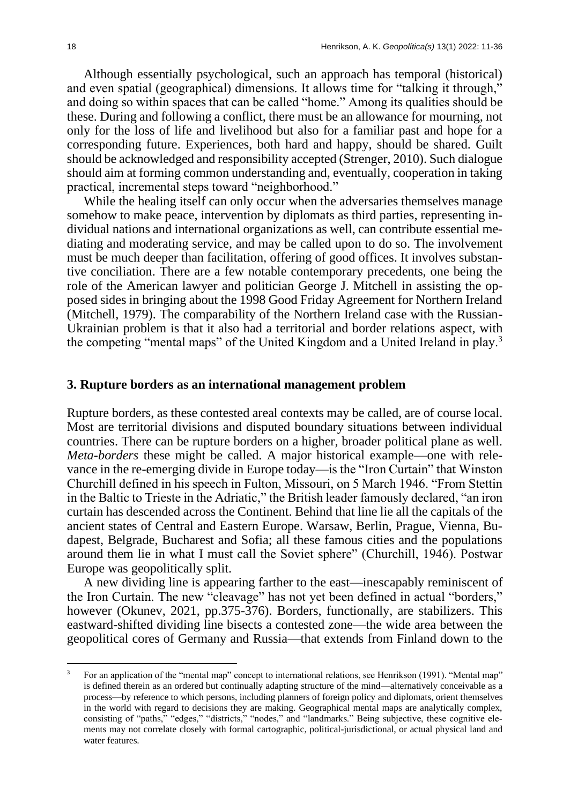Although essentially psychological, such an approach has temporal (historical) and even spatial (geographical) dimensions. It allows time for "talking it through," and doing so within spaces that can be called "home." Among its qualities should be these. During and following a conflict, there must be an allowance for mourning, not only for the loss of life and livelihood but also for a familiar past and hope for a corresponding future. Experiences, both hard and happy, should be shared. Guilt should be acknowledged and responsibility accepted (Strenger, 2010). Such dialogue should aim at forming common understanding and, eventually, cooperation in taking practical, incremental steps toward "neighborhood."

While the healing itself can only occur when the adversaries themselves manage somehow to make peace, intervention by diplomats as third parties, representing individual nations and international organizations as well, can contribute essential mediating and moderating service, and may be called upon to do so. The involvement must be much deeper than facilitation, offering of good offices. It involves substantive conciliation. There are a few notable contemporary precedents, one being the role of the American lawyer and politician George J. Mitchell in assisting the opposed sides in bringing about the 1998 Good Friday Agreement for Northern Ireland (Mitchell, 1979). The comparability of the Northern Ireland case with the Russian-Ukrainian problem is that it also had a territorial and border relations aspect, with the competing "mental maps" of the United Kingdom and a United Ireland in play.<sup>3</sup>

#### **3. Rupture borders as an international management problem**

Rupture borders, as these contested areal contexts may be called, are of course local. Most are territorial divisions and disputed boundary situations between individual countries. There can be rupture borders on a higher, broader political plane as well. *Meta-borders* these might be called. A major historical example—one with relevance in the re-emerging divide in Europe today—is the "Iron Curtain" that Winston Churchill defined in his speech in Fulton, Missouri, on 5 March 1946. "From Stettin in the Baltic to Trieste in the Adriatic," the British leader famously declared, "an iron curtain has descended across the Continent. Behind that line lie all the capitals of the ancient states of Central and Eastern Europe. Warsaw, Berlin, Prague, Vienna, Budapest, Belgrade, Bucharest and Sofia; all these famous cities and the populations around them lie in what I must call the Soviet sphere" (Churchill, 1946). Postwar Europe was geopolitically split.

A new dividing line is appearing farther to the east—inescapably reminiscent of the Iron Curtain. The new "cleavage" has not yet been defined in actual "borders," however (Okunev, 2021, pp.375-376). Borders, functionally, are stabilizers. This eastward-shifted dividing line bisects a contested zone—the wide area between the geopolitical cores of Germany and Russia—that extends from Finland down to the

<sup>3</sup> For an application of the "mental map" concept to international relations, see Henrikson (1991). "Mental map" is defined therein as an ordered but continually adapting structure of the mind—alternatively conceivable as a process—by reference to which persons, including planners of foreign policy and diplomats, orient themselves in the world with regard to decisions they are making. Geographical mental maps are analytically complex, consisting of "paths," "edges," "districts," "nodes," and "landmarks." Being subjective, these cognitive elements may not correlate closely with formal cartographic, political-jurisdictional, or actual physical land and water features.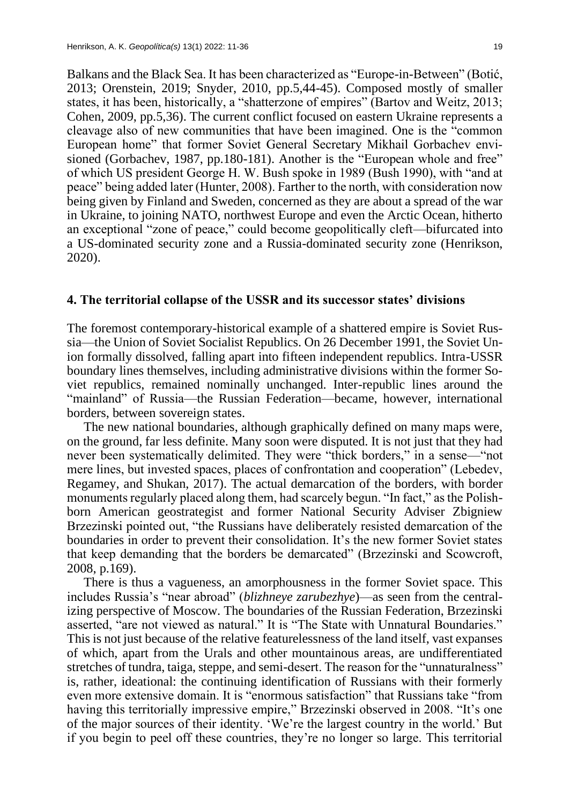Balkans and the Black Sea. It has been characterized as "Europe-in-Between" (Botić, 2013; Orenstein, 2019; Snyder, 2010, pp.5,44-45). Composed mostly of smaller states, it has been, historically, a "shatterzone of empires" (Bartov and Weitz, 2013; Cohen, 2009, pp.5,36). The current conflict focused on eastern Ukraine represents a cleavage also of new communities that have been imagined. One is the "common European home" that former Soviet General Secretary Mikhail Gorbachev envisioned (Gorbachev, 1987, pp.180-181). Another is the "European whole and free" of which US president George H. W. Bush spoke in 1989 (Bush 1990), with "and at peace" being added later (Hunter, 2008). Farther to the north, with consideration now being given by Finland and Sweden, concerned as they are about a spread of the war in Ukraine, to joining NATO, northwest Europe and even the Arctic Ocean, hitherto an exceptional "zone of peace," could become geopolitically cleft—bifurcated into a US-dominated security zone and a Russia-dominated security zone (Henrikson, 2020).

#### **4. The territorial collapse of the USSR and its successor states' divisions**

The foremost contemporary-historical example of a shattered empire is Soviet Russia—the Union of Soviet Socialist Republics. On 26 December 1991, the Soviet Union formally dissolved, falling apart into fifteen independent republics. Intra-USSR boundary lines themselves, including administrative divisions within the former Soviet republics, remained nominally unchanged. Inter-republic lines around the "mainland" of Russia—the Russian Federation—became, however, international borders, between sovereign states.

The new national boundaries, although graphically defined on many maps were, on the ground, far less definite. Many soon were disputed. It is not just that they had never been systematically delimited. They were "thick borders," in a sense—"not mere lines, but invested spaces, places of confrontation and cooperation" (Lebedev, Regamey, and Shukan, 2017). The actual demarcation of the borders, with border monuments regularly placed along them, had scarcely begun. "In fact," as the Polishborn American geostrategist and former National Security Adviser Zbigniew Brzezinski pointed out, "the Russians have deliberately resisted demarcation of the boundaries in order to prevent their consolidation. It's the new former Soviet states that keep demanding that the borders be demarcated" (Brzezinski and Scowcroft, 2008, p.169).

There is thus a vagueness, an amorphousness in the former Soviet space. This includes Russia's "near abroad" (*blizhneye zarubezhye*)—as seen from the centralizing perspective of Moscow. The boundaries of the Russian Federation, Brzezinski asserted, "are not viewed as natural." It is "The State with Unnatural Boundaries." This is not just because of the relative featurelessness of the land itself, vast expanses of which, apart from the Urals and other mountainous areas, are undifferentiated stretches of tundra, taiga, steppe, and semi-desert. The reason for the "unnaturalness" is, rather, ideational: the continuing identification of Russians with their formerly even more extensive domain. It is "enormous satisfaction" that Russians take "from having this territorially impressive empire," Brzezinski observed in 2008. "It's one of the major sources of their identity. 'We're the largest country in the world.' But if you begin to peel off these countries, they're no longer so large. This territorial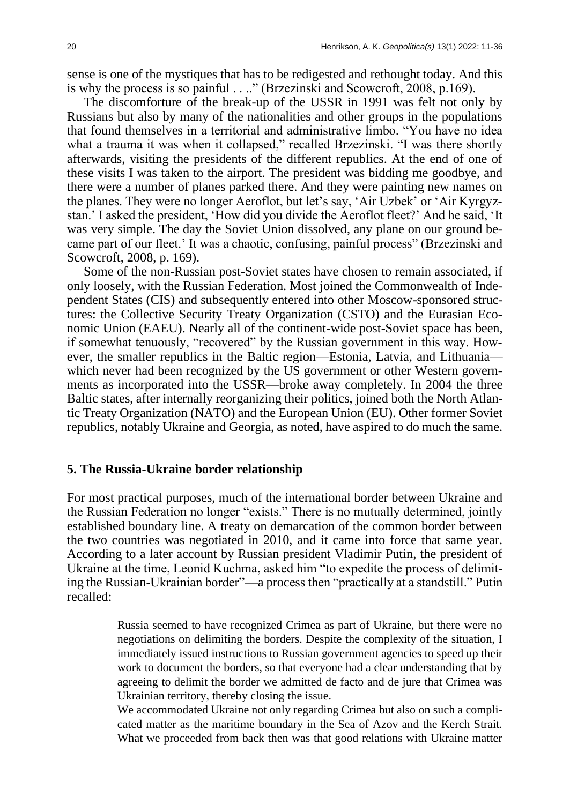sense is one of the mystiques that has to be redigested and rethought today. And this is why the process is so painful . . .." (Brzezinski and Scowcroft, 2008, p.169).

The discomforture of the break-up of the USSR in 1991 was felt not only by Russians but also by many of the nationalities and other groups in the populations that found themselves in a territorial and administrative limbo. "You have no idea what a trauma it was when it collapsed," recalled Brzezinski. "I was there shortly afterwards, visiting the presidents of the different republics. At the end of one of these visits I was taken to the airport. The president was bidding me goodbye, and there were a number of planes parked there. And they were painting new names on the planes. They were no longer Aeroflot, but let's say, 'Air Uzbek' or 'Air Kyrgyzstan.' I asked the president, 'How did you divide the Aeroflot fleet?' And he said, 'It was very simple. The day the Soviet Union dissolved, any plane on our ground became part of our fleet.' It was a chaotic, confusing, painful process" (Brzezinski and Scowcroft, 2008, p. 169).

Some of the non-Russian post-Soviet states have chosen to remain associated, if only loosely, with the Russian Federation. Most joined the Commonwealth of Independent States (CIS) and subsequently entered into other Moscow-sponsored structures: the Collective Security Treaty Organization (CSTO) and the Eurasian Economic Union (EAEU). Nearly all of the continent-wide post-Soviet space has been, if somewhat tenuously, "recovered" by the Russian government in this way. However, the smaller republics in the Baltic region—Estonia, Latvia, and Lithuania which never had been recognized by the US government or other Western governments as incorporated into the USSR—broke away completely. In 2004 the three Baltic states, after internally reorganizing their politics, joined both the North Atlantic Treaty Organization (NATO) and the European Union (EU). Other former Soviet republics, notably Ukraine and Georgia, as noted, have aspired to do much the same.

#### **5. The Russia-Ukraine border relationship**

For most practical purposes, much of the international border between Ukraine and the Russian Federation no longer "exists." There is no mutually determined, jointly established boundary line. A treaty on demarcation of the common border between the two countries was negotiated in 2010, and it came into force that same year. According to a later account by Russian president Vladimir Putin, the president of Ukraine at the time, Leonid Kuchma, asked him "to expedite the process of delimiting the Russian-Ukrainian border"—a process then "practically at a standstill." Putin recalled:

> Russia seemed to have recognized Crimea as part of Ukraine, but there were no negotiations on delimiting the borders. Despite the complexity of the situation, I immediately issued instructions to Russian government agencies to speed up their work to document the borders, so that everyone had a clear understanding that by agreeing to delimit the border we admitted de facto and de jure that Crimea was Ukrainian territory, thereby closing the issue.

> We accommodated Ukraine not only regarding Crimea but also on such a complicated matter as the maritime boundary in the Sea of Azov and the Kerch Strait. What we proceeded from back then was that good relations with Ukraine matter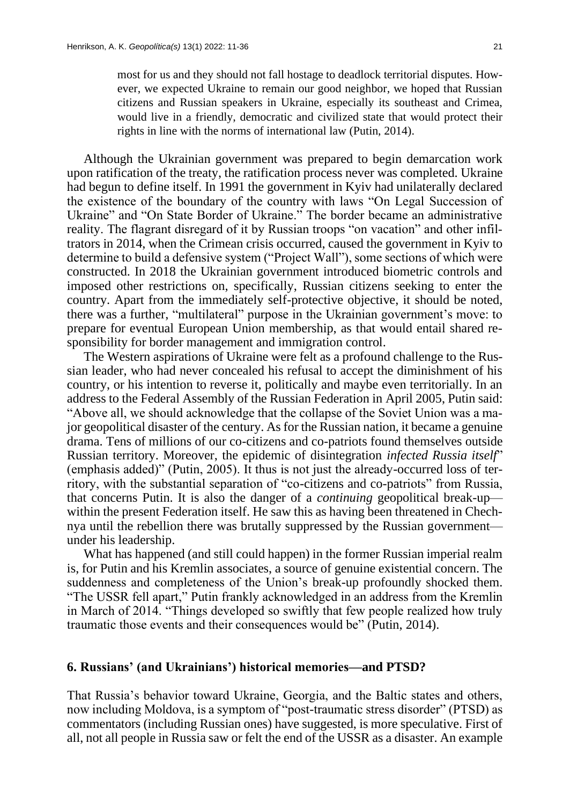most for us and they should not fall hostage to deadlock territorial disputes. However, we expected Ukraine to remain our good neighbor, we hoped that Russian citizens and Russian speakers in Ukraine, especially its southeast and Crimea, would live in a friendly, democratic and civilized state that would protect their rights in line with the norms of international law (Putin, 2014).

Although the Ukrainian government was prepared to begin demarcation work upon ratification of the treaty, the ratification process never was completed. Ukraine had begun to define itself. In 1991 the government in Kyiv had unilaterally declared the existence of the boundary of the country with laws "On Legal Succession of Ukraine" and "On State Border of Ukraine." The border became an administrative reality. The flagrant disregard of it by Russian troops "on vacation" and other infiltrators in 2014, when the Crimean crisis occurred, caused the government in Kyiv to determine to build a defensive system ("Project Wall"), some sections of which were constructed. In 2018 the Ukrainian government introduced biometric controls and imposed other restrictions on, specifically, Russian citizens seeking to enter the country. Apart from the immediately self-protective objective, it should be noted, there was a further, "multilateral" purpose in the Ukrainian government's move: to prepare for eventual European Union membership, as that would entail shared responsibility for border management and immigration control.

The Western aspirations of Ukraine were felt as a profound challenge to the Russian leader, who had never concealed his refusal to accept the diminishment of his country, or his intention to reverse it, politically and maybe even territorially. In an address to the Federal Assembly of the Russian Federation in April 2005, Putin said: "Above all, we should acknowledge that the collapse of the Soviet Union was a major geopolitical disaster of the century. As for the Russian nation, it became a genuine drama. Tens of millions of our co-citizens and co-patriots found themselves outside Russian territory. Moreover, the epidemic of disintegration *infected Russia itself*" (emphasis added)" (Putin, 2005). It thus is not just the already-occurred loss of territory, with the substantial separation of "co-citizens and co-patriots" from Russia, that concerns Putin. It is also the danger of a *continuing* geopolitical break-up within the present Federation itself. He saw this as having been threatened in Chechnya until the rebellion there was brutally suppressed by the Russian government under his leadership.

What has happened (and still could happen) in the former Russian imperial realm is, for Putin and his Kremlin associates, a source of genuine existential concern. The suddenness and completeness of the Union's break-up profoundly shocked them. "The USSR fell apart," Putin frankly acknowledged in an address from the Kremlin in March of 2014. "Things developed so swiftly that few people realized how truly traumatic those events and their consequences would be" (Putin, 2014).

## **6. Russians' (and Ukrainians') historical memories—and PTSD?**

That Russia's behavior toward Ukraine, Georgia, and the Baltic states and others, now including Moldova, is a symptom of "post-traumatic stress disorder" (PTSD) as commentators (including Russian ones) have suggested, is more speculative. First of all, not all people in Russia saw or felt the end of the USSR as a disaster. An example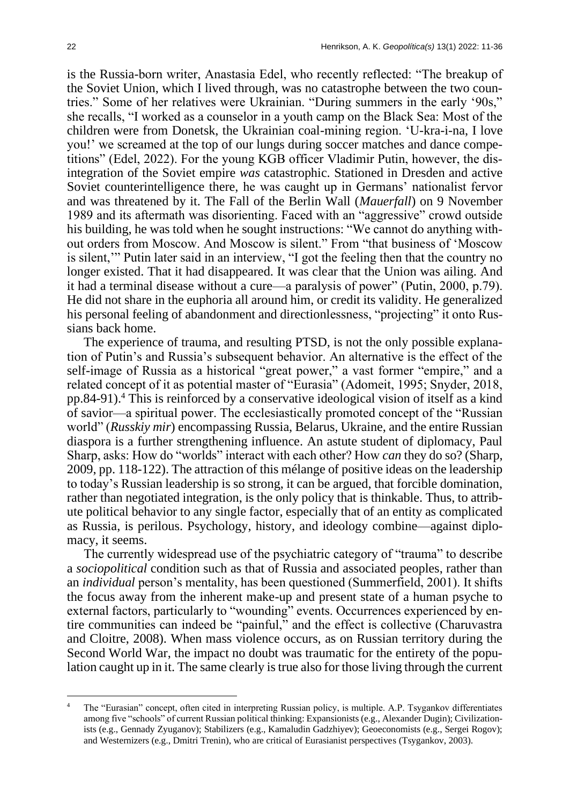is the Russia-born writer, Anastasia Edel, who recently reflected: "The breakup of the Soviet Union, which I lived through, was no catastrophe between the two countries." Some of her relatives were Ukrainian. "During summers in the early '90s," she recalls, "I worked as a counselor in a youth camp on the Black Sea: Most of the children were from Donetsk, the Ukrainian coal-mining region. 'U-kra-i-na, I love you!' we screamed at the top of our lungs during soccer matches and dance competitions" (Edel, 2022). For the young KGB officer Vladimir Putin, however, the disintegration of the Soviet empire *was* catastrophic. Stationed in Dresden and active Soviet counterintelligence there, he was caught up in Germans' nationalist fervor and was threatened by it. The Fall of the Berlin Wall (*Mauerfall*) on 9 November 1989 and its aftermath was disorienting. Faced with an "aggressive" crowd outside his building, he was told when he sought instructions: "We cannot do anything without orders from Moscow. And Moscow is silent." From "that business of 'Moscow is silent,'" Putin later said in an interview, "I got the feeling then that the country no longer existed. That it had disappeared. It was clear that the Union was ailing. And it had a terminal disease without a cure—a paralysis of power" (Putin, 2000, p.79). He did not share in the euphoria all around him, or credit its validity. He generalized his personal feeling of abandonment and directionlessness, "projecting" it onto Russians back home.

The experience of trauma, and resulting PTSD, is not the only possible explanation of Putin's and Russia's subsequent behavior. An alternative is the effect of the self-image of Russia as a historical "great power," a vast former "empire," and a related concept of it as potential master of "Eurasia" (Adomeit, 1995; Snyder, 2018, pp.84-91).<sup>4</sup> This is reinforced by a conservative ideological vision of itself as a kind of savior—a spiritual power. The ecclesiastically promoted concept of the "Russian world" (*Russkiy mir*) encompassing Russia, Belarus, Ukraine, and the entire Russian diaspora is a further strengthening influence. An astute student of diplomacy, Paul Sharp, asks: How do "worlds" interact with each other? How *can* they do so? (Sharp, 2009, pp. 118-122). The attraction of this mélange of positive ideas on the leadership to today's Russian leadership is so strong, it can be argued, that forcible domination, rather than negotiated integration, is the only policy that is thinkable. Thus, to attribute political behavior to any single factor, especially that of an entity as complicated as Russia, is perilous. Psychology, history, and ideology combine—against diplomacy, it seems.

The currently widespread use of the psychiatric category of "trauma" to describe a *sociopolitical* condition such as that of Russia and associated peoples, rather than an *individual* person's mentality, has been questioned (Summerfield, 2001). It shifts the focus away from the inherent make-up and present state of a human psyche to external factors, particularly to "wounding" events. Occurrences experienced by entire communities can indeed be "painful," and the effect is collective (Charuvastra and Cloitre, 2008). When mass violence occurs, as on Russian territory during the Second World War, the impact no doubt was traumatic for the entirety of the population caught up in it. The same clearly is true also for those living through the current

The "Eurasian" concept, often cited in interpreting Russian policy, is multiple. A.P. Tsygankov differentiates among five "schools" of current Russian political thinking: Expansionists (e.g., Alexander Dugin); Civilizationists (e.g., Gennady Zyuganov); Stabilizers (e.g., Kamaludin Gadzhiyev); Geoeconomists (e.g., Sergei Rogov); and Westernizers (e.g., Dmitri Trenin), who are critical of Eurasianist perspectives (Tsygankov, 2003).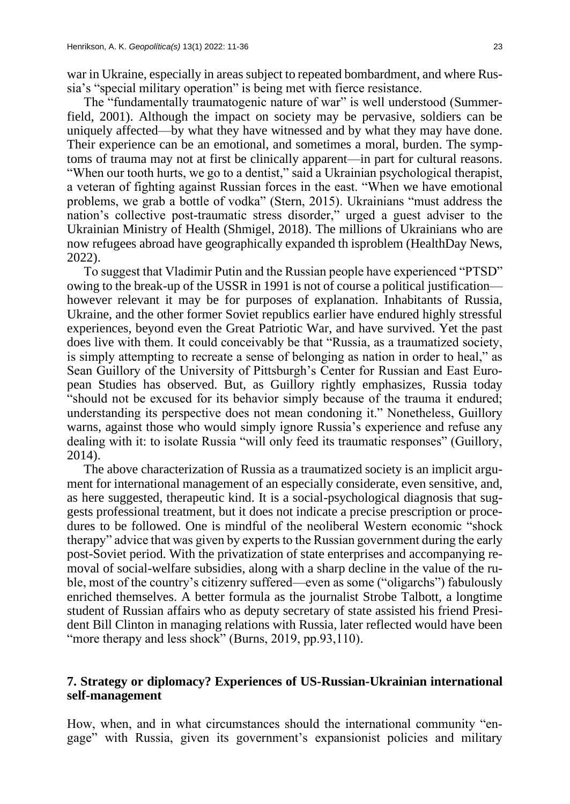war in Ukraine, especially in areas subject to repeated bombardment, and where Russia's "special military operation" is being met with fierce resistance.

The "fundamentally traumatogenic nature of war" is well understood (Summerfield, 2001). Although the impact on society may be pervasive, soldiers can be uniquely affected—by what they have witnessed and by what they may have done. Their experience can be an emotional, and sometimes a moral, burden. The symptoms of trauma may not at first be clinically apparent—in part for cultural reasons. "When our tooth hurts, we go to a dentist," said a Ukrainian psychological therapist, a veteran of fighting against Russian forces in the east. "When we have emotional problems, we grab a bottle of vodka" (Stern, 2015). Ukrainians "must address the nation's collective post-traumatic stress disorder," urged a guest adviser to the Ukrainian Ministry of Health (Shmigel, 2018). The millions of Ukrainians who are now refugees abroad have geographically expanded th isproblem (HealthDay News, 2022).

To suggest that Vladimir Putin and the Russian people have experienced "PTSD" owing to the break-up of the USSR in 1991 is not of course a political justification however relevant it may be for purposes of explanation. Inhabitants of Russia, Ukraine, and the other former Soviet republics earlier have endured highly stressful experiences, beyond even the Great Patriotic War, and have survived. Yet the past does live with them. It could conceivably be that "Russia, as a traumatized society, is simply attempting to recreate a sense of belonging as nation in order to heal," as Sean Guillory of the University of Pittsburgh's Center for Russian and East European Studies has observed. But, as Guillory rightly emphasizes, Russia today "should not be excused for its behavior simply because of the trauma it endured; understanding its perspective does not mean condoning it." Nonetheless, Guillory warns, against those who would simply ignore Russia's experience and refuse any dealing with it: to isolate Russia "will only feed its traumatic responses" (Guillory, 2014).

The above characterization of Russia as a traumatized society is an implicit argument for international management of an especially considerate, even sensitive, and, as here suggested, therapeutic kind. It is a social-psychological diagnosis that suggests professional treatment, but it does not indicate a precise prescription or procedures to be followed. One is mindful of the neoliberal Western economic "shock therapy" advice that was given by experts to the Russian government during the early post-Soviet period. With the privatization of state enterprises and accompanying removal of social-welfare subsidies, along with a sharp decline in the value of the ruble, most of the country's citizenry suffered—even as some ("oligarchs") fabulously enriched themselves. A better formula as the journalist Strobe Talbott, a longtime student of Russian affairs who as deputy secretary of state assisted his friend President Bill Clinton in managing relations with Russia, later reflected would have been "more therapy and less shock" (Burns, 2019, pp.93,110).

## **7. Strategy or diplomacy? Experiences of US-Russian-Ukrainian international self-management**

How, when, and in what circumstances should the international community "engage" with Russia, given its government's expansionist policies and military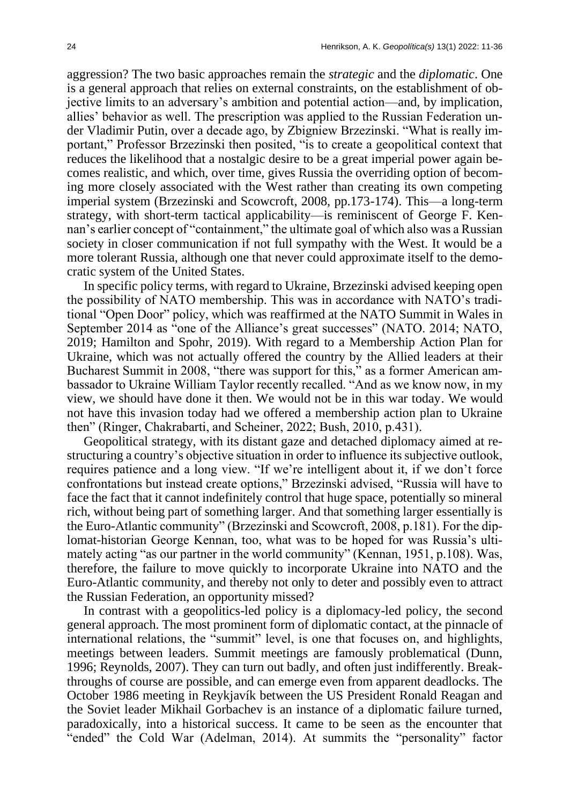aggression? The two basic approaches remain the *strategic* and the *diplomatic*. One is a general approach that relies on external constraints, on the establishment of objective limits to an adversary's ambition and potential action—and, by implication, allies' behavior as well. The prescription was applied to the Russian Federation under Vladimir Putin, over a decade ago, by Zbigniew Brzezinski. "What is really important," Professor Brzezinski then posited, "is to create a geopolitical context that reduces the likelihood that a nostalgic desire to be a great imperial power again becomes realistic, and which, over time, gives Russia the overriding option of becoming more closely associated with the West rather than creating its own competing imperial system (Brzezinski and Scowcroft, 2008, pp.173-174). This—a long-term strategy, with short-term tactical applicability—is reminiscent of George F. Kennan's earlier concept of "containment," the ultimate goal of which also was a Russian society in closer communication if not full sympathy with the West. It would be a more tolerant Russia, although one that never could approximate itself to the democratic system of the United States.

In specific policy terms, with regard to Ukraine, Brzezinski advised keeping open the possibility of NATO membership. This was in accordance with NATO's traditional "Open Door" policy, which was reaffirmed at the NATO Summit in Wales in September 2014 as "one of the Alliance's great successes" (NATO. 2014; NATO, 2019; Hamilton and Spohr, 2019). With regard to a Membership Action Plan for Ukraine, which was not actually offered the country by the Allied leaders at their Bucharest Summit in 2008, "there was support for this," as a former American ambassador to Ukraine William Taylor recently recalled. "And as we know now, in my view, we should have done it then. We would not be in this war today. We would not have this invasion today had we offered a membership action plan to Ukraine then" (Ringer, Chakrabarti, and Scheiner, 2022; Bush, 2010, p.431).

Geopolitical strategy, with its distant gaze and detached diplomacy aimed at restructuring a country's objective situation in order to influence its subjective outlook, requires patience and a long view. "If we're intelligent about it, if we don't force confrontations but instead create options," Brzezinski advised, "Russia will have to face the fact that it cannot indefinitely control that huge space, potentially so mineral rich, without being part of something larger. And that something larger essentially is the Euro-Atlantic community" (Brzezinski and Scowcroft, 2008, p.181). For the diplomat-historian George Kennan, too, what was to be hoped for was Russia's ultimately acting "as our partner in the world community" (Kennan, 1951, p.108). Was, therefore, the failure to move quickly to incorporate Ukraine into NATO and the Euro-Atlantic community, and thereby not only to deter and possibly even to attract the Russian Federation, an opportunity missed?

In contrast with a geopolitics-led policy is a diplomacy-led policy, the second general approach. The most prominent form of diplomatic contact, at the pinnacle of international relations, the "summit" level, is one that focuses on, and highlights, meetings between leaders. Summit meetings are famously problematical (Dunn, 1996; Reynolds, 2007). They can turn out badly, and often just indifferently. Breakthroughs of course are possible, and can emerge even from apparent deadlocks. The October 1986 meeting in Reykjavík between the US President Ronald Reagan and the Soviet leader Mikhail Gorbachev is an instance of a diplomatic failure turned, paradoxically, into a historical success. It came to be seen as the encounter that "ended" the Cold War (Adelman, 2014). At summits the "personality" factor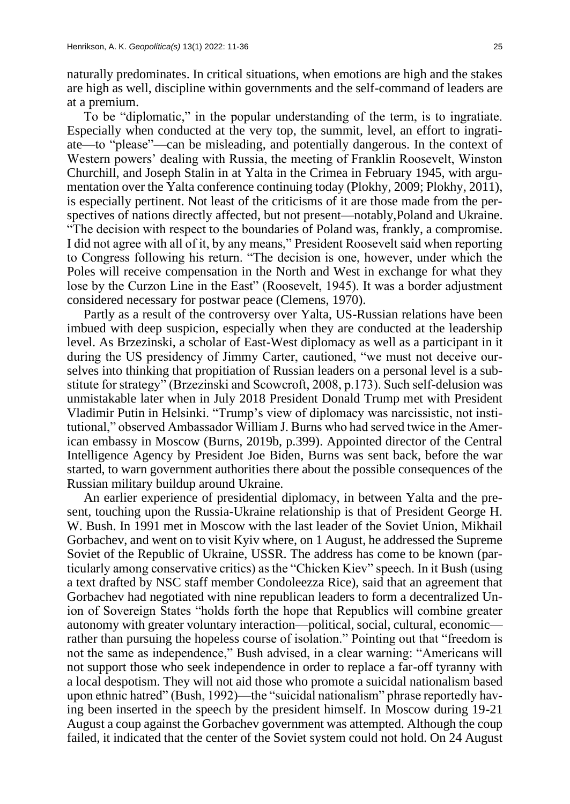naturally predominates. In critical situations, when emotions are high and the stakes are high as well, discipline within governments and the self-command of leaders are at a premium.

To be "diplomatic," in the popular understanding of the term, is to ingratiate. Especially when conducted at the very top, the summit, level, an effort to ingratiate—to "please"—can be misleading, and potentially dangerous. In the context of Western powers' dealing with Russia, the meeting of Franklin Roosevelt, Winston Churchill, and Joseph Stalin in at Yalta in the Crimea in February 1945, with argumentation over the Yalta conference continuing today (Plokhy, 2009; Plokhy, 2011), is especially pertinent. Not least of the criticisms of it are those made from the perspectives of nations directly affected, but not present—notably,Poland and Ukraine. "The decision with respect to the boundaries of Poland was, frankly, a compromise. I did not agree with all of it, by any means," President Roosevelt said when reporting to Congress following his return. "The decision is one, however, under which the Poles will receive compensation in the North and West in exchange for what they lose by the Curzon Line in the East" (Roosevelt, 1945). It was a border adjustment considered necessary for postwar peace (Clemens, 1970).

Partly as a result of the controversy over Yalta, US-Russian relations have been imbued with deep suspicion, especially when they are conducted at the leadership level. As Brzezinski, a scholar of East-West diplomacy as well as a participant in it during the US presidency of Jimmy Carter, cautioned, "we must not deceive ourselves into thinking that propitiation of Russian leaders on a personal level is a substitute for strategy" (Brzezinski and Scowcroft, 2008, p.173). Such self-delusion was unmistakable later when in July 2018 President Donald Trump met with President Vladimir Putin in Helsinki. "Trump's view of diplomacy was narcissistic, not institutional," observed Ambassador William J. Burns who had served twice in the American embassy in Moscow (Burns, 2019b, p.399). Appointed director of the Central Intelligence Agency by President Joe Biden, Burns was sent back, before the war started, to warn government authorities there about the possible consequences of the Russian military buildup around Ukraine.

An earlier experience of presidential diplomacy, in between Yalta and the present, touching upon the Russia-Ukraine relationship is that of President George H. W. Bush. In 1991 met in Moscow with the last leader of the Soviet Union, Mikhail Gorbachev, and went on to visit Kyiv where, on 1 August, he addressed the Supreme Soviet of the Republic of Ukraine, USSR. The address has come to be known (particularly among conservative critics) as the "Chicken Kiev" speech. In it Bush (using a text drafted by NSC staff member Condoleezza Rice), said that an agreement that Gorbachev had negotiated with nine republican leaders to form a decentralized Union of Sovereign States "holds forth the hope that Republics will combine greater autonomy with greater voluntary interaction—political, social, cultural, economic rather than pursuing the hopeless course of isolation." Pointing out that "freedom is not the same as independence," Bush advised, in a clear warning: "Americans will not support those who seek independence in order to replace a far-off tyranny with a local despotism. They will not aid those who promote a suicidal nationalism based upon ethnic hatred" (Bush, 1992)—the "suicidal nationalism" phrase reportedly having been inserted in the speech by the president himself. In Moscow during 19-21 August a coup against the Gorbachev government was attempted. Although the coup failed, it indicated that the center of the Soviet system could not hold. On 24 August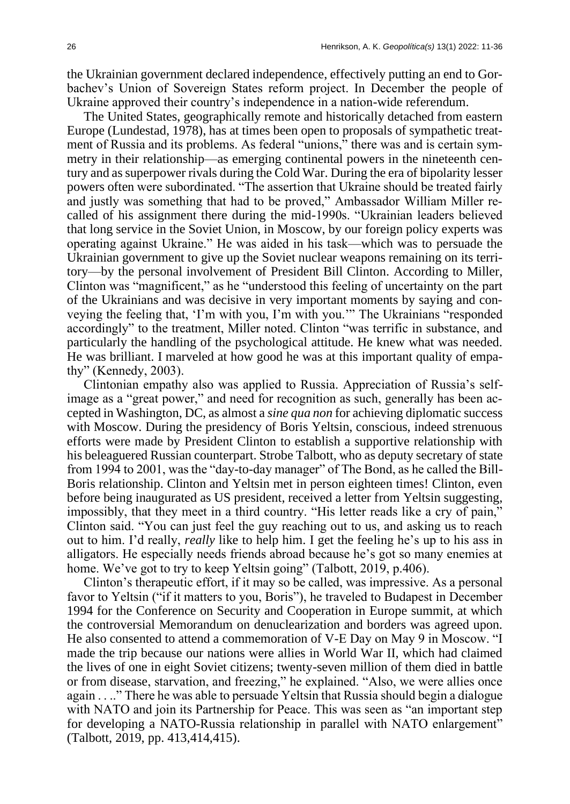the Ukrainian government declared independence, effectively putting an end to Gorbachev's Union of Sovereign States reform project. In December the people of Ukraine approved their country's independence in a nation-wide referendum.

The United States, geographically remote and historically detached from eastern Europe (Lundestad, 1978), has at times been open to proposals of sympathetic treatment of Russia and its problems. As federal "unions," there was and is certain symmetry in their relationship—as emerging continental powers in the nineteenth century and as superpower rivals during the Cold War. During the era of bipolarity lesser powers often were subordinated. "The assertion that Ukraine should be treated fairly and justly was something that had to be proved," Ambassador William Miller recalled of his assignment there during the mid-1990s. "Ukrainian leaders believed that long service in the Soviet Union, in Moscow, by our foreign policy experts was operating against Ukraine." He was aided in his task—which was to persuade the Ukrainian government to give up the Soviet nuclear weapons remaining on its territory—by the personal involvement of President Bill Clinton. According to Miller, Clinton was "magnificent," as he "understood this feeling of uncertainty on the part of the Ukrainians and was decisive in very important moments by saying and conveying the feeling that, 'I'm with you, I'm with you.'" The Ukrainians "responded accordingly" to the treatment, Miller noted. Clinton "was terrific in substance, and particularly the handling of the psychological attitude. He knew what was needed. He was brilliant. I marveled at how good he was at this important quality of empathy" (Kennedy, 2003).

Clintonian empathy also was applied to Russia. Appreciation of Russia's selfimage as a "great power," and need for recognition as such, generally has been accepted in Washington, DC, as almost a *sine qua non* for achieving diplomatic success with Moscow. During the presidency of Boris Yeltsin, conscious, indeed strenuous efforts were made by President Clinton to establish a supportive relationship with his beleaguered Russian counterpart. Strobe Talbott, who as deputy secretary of state from 1994 to 2001, was the "day-to-day manager" of The Bond, as he called the Bill-Boris relationship. Clinton and Yeltsin met in person eighteen times! Clinton, even before being inaugurated as US president, received a letter from Yeltsin suggesting, impossibly, that they meet in a third country. "His letter reads like a cry of pain," Clinton said. "You can just feel the guy reaching out to us, and asking us to reach out to him. I'd really, *really* like to help him. I get the feeling he's up to his ass in alligators. He especially needs friends abroad because he's got so many enemies at home. We've got to try to keep Yeltsin going" (Talbott, 2019, p.406).

Clinton's therapeutic effort, if it may so be called, was impressive. As a personal favor to Yeltsin ("if it matters to you, Boris"), he traveled to Budapest in December 1994 for the Conference on Security and Cooperation in Europe summit, at which the controversial Memorandum on denuclearization and borders was agreed upon. He also consented to attend a commemoration of V-E Day on May 9 in Moscow. "I made the trip because our nations were allies in World War II, which had claimed the lives of one in eight Soviet citizens; twenty-seven million of them died in battle or from disease, starvation, and freezing," he explained. "Also, we were allies once again . . .." There he was able to persuade Yeltsin that Russia should begin a dialogue with NATO and join its Partnership for Peace. This was seen as "an important step for developing a NATO-Russia relationship in parallel with NATO enlargement" (Talbott, 2019, pp. 413,414,415).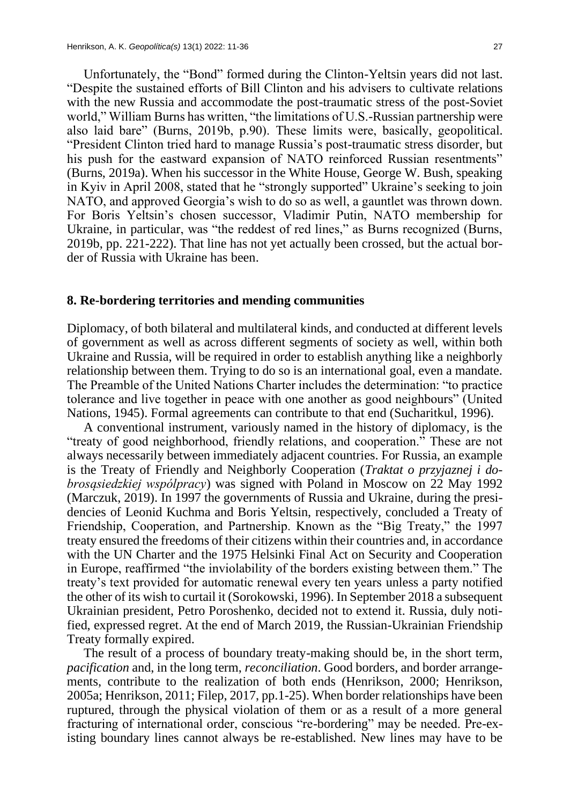Unfortunately, the "Bond" formed during the Clinton-Yeltsin years did not last. "Despite the sustained efforts of Bill Clinton and his advisers to cultivate relations with the new Russia and accommodate the post-traumatic stress of the post-Soviet world," William Burns has written, "the limitations of U.S.-Russian partnership were also laid bare" (Burns, 2019b, p.90). These limits were, basically, geopolitical. "President Clinton tried hard to manage Russia's post-traumatic stress disorder, but his push for the eastward expansion of NATO reinforced Russian resentments" (Burns, 2019a). When his successor in the White House, George W. Bush, speaking in Kyiv in April 2008, stated that he "strongly supported" Ukraine's seeking to join NATO, and approved Georgia's wish to do so as well, a gauntlet was thrown down. For Boris Yeltsin's chosen successor, Vladimir Putin, NATO membership for Ukraine, in particular, was "the reddest of red lines," as Burns recognized (Burns, 2019b, pp. 221-222). That line has not yet actually been crossed, but the actual border of Russia with Ukraine has been.

#### **8. Re-bordering territories and mending communities**

Diplomacy, of both bilateral and multilateral kinds, and conducted at different levels of government as well as across different segments of society as well, within both Ukraine and Russia, will be required in order to establish anything like a neighborly relationship between them. Trying to do so is an international goal, even a mandate. The Preamble of the United Nations Charter includes the determination: "to practice tolerance and live together in peace with one another as good neighbours" (United Nations, 1945). Formal agreements can contribute to that end (Sucharitkul, 1996).

A conventional instrument, variously named in the history of diplomacy, is the "treaty of good neighborhood, friendly relations, and cooperation." These are not always necessarily between immediately adjacent countries. For Russia, an example is the Treaty of Friendly and Neighborly Cooperation (*Traktat o przyjaznej i dobrosąsiedzkiej wspólpracy*) was signed with Poland in Moscow on 22 May 1992 (Marczuk, 2019). In 1997 the governments of Russia and Ukraine, during the presidencies of Leonid Kuchma and Boris Yeltsin, respectively, concluded a Treaty of Friendship, Cooperation, and Partnership. Known as the "Big Treaty," the 1997 treaty ensured the freedoms of their citizens within their countries and, in accordance with the UN Charter and the 1975 Helsinki Final Act on Security and Cooperation in Europe, reaffirmed "the inviolability of the borders existing between them." The treaty's text provided for automatic renewal every ten years unless a party notified the other of its wish to curtail it (Sorokowski, 1996). In September 2018 a subsequent Ukrainian president, Petro Poroshenko, decided not to extend it. Russia, duly notified, expressed regret. At the end of March 2019, the Russian-Ukrainian Friendship Treaty formally expired.

The result of a process of boundary treaty-making should be, in the short term, *pacification* and, in the long term, *reconciliation*. Good borders, and border arrangements, contribute to the realization of both ends (Henrikson, 2000; Henrikson, 2005a; Henrikson, 2011; Filep, 2017, pp.1-25). When border relationships have been ruptured, through the physical violation of them or as a result of a more general fracturing of international order, conscious "re-bordering" may be needed. Pre-existing boundary lines cannot always be re-established. New lines may have to be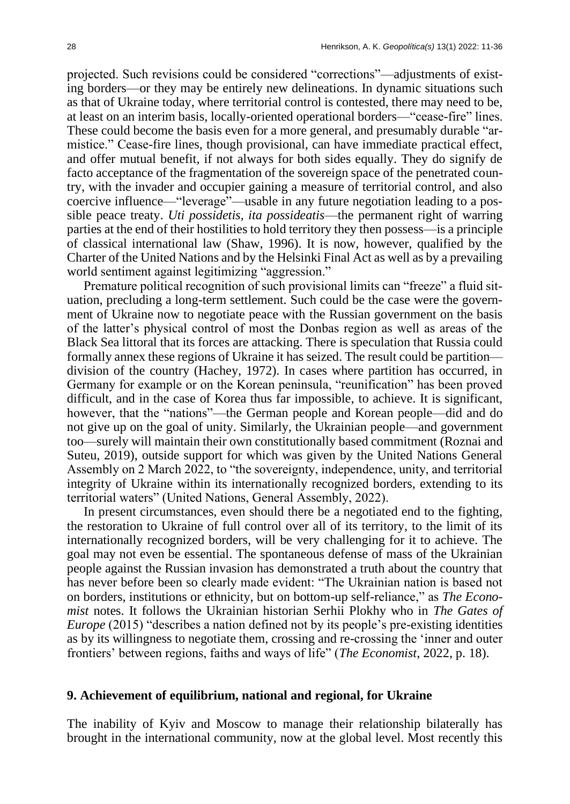projected. Such revisions could be considered "corrections"—adjustments of existing borders—or they may be entirely new delineations. In dynamic situations such as that of Ukraine today, where territorial control is contested, there may need to be, at least on an interim basis, locally-oriented operational borders—"cease-fire" lines. These could become the basis even for a more general, and presumably durable "armistice." Cease-fire lines, though provisional, can have immediate practical effect, and offer mutual benefit, if not always for both sides equally. They do signify de facto acceptance of the fragmentation of the sovereign space of the penetrated country, with the invader and occupier gaining a measure of territorial control, and also coercive influence—"leverage"—usable in any future negotiation leading to a possible peace treaty. *Uti possidetis, ita possideatis*—the permanent right of warring parties at the end of their hostilities to hold territory they then possess—is a principle of classical international law (Shaw, 1996). It is now, however, qualified by the Charter of the United Nations and by the Helsinki Final Act as well as by a prevailing world sentiment against legitimizing "aggression."

Premature political recognition of such provisional limits can "freeze" a fluid situation, precluding a long-term settlement. Such could be the case were the government of Ukraine now to negotiate peace with the Russian government on the basis of the latter's physical control of most the Donbas region as well as areas of the Black Sea littoral that its forces are attacking. There is speculation that Russia could formally annex these regions of Ukraine it has seized. The result could be partition division of the country (Hachey, 1972). In cases where partition has occurred, in Germany for example or on the Korean peninsula, "reunification" has been proved difficult, and in the case of Korea thus far impossible, to achieve. It is significant, however, that the "nations"—the German people and Korean people—did and do not give up on the goal of unity. Similarly, the Ukrainian people—and government too—surely will maintain their own constitutionally based commitment (Roznai and Suteu, 2019), outside support for which was given by the United Nations General Assembly on 2 March 2022, to "the sovereignty, independence, unity, and territorial integrity of Ukraine within its internationally recognized borders, extending to its territorial waters" (United Nations, General Assembly, 2022).

In present circumstances, even should there be a negotiated end to the fighting, the restoration to Ukraine of full control over all of its territory, to the limit of its internationally recognized borders, will be very challenging for it to achieve. The goal may not even be essential. The spontaneous defense of mass of the Ukrainian people against the Russian invasion has demonstrated a truth about the country that has never before been so clearly made evident: "The Ukrainian nation is based not on borders, institutions or ethnicity, but on bottom-up self-reliance," as *The Economist* notes. It follows the Ukrainian historian Serhii Plokhy who in *The Gates of Europe* (2015) "describes a nation defined not by its people's pre-existing identities as by its willingness to negotiate them, crossing and re-crossing the 'inner and outer frontiers' between regions, faiths and ways of life" (*The Economist*, 2022, p. 18).

#### **9. Achievement of equilibrium, national and regional, for Ukraine**

The inability of Kyiv and Moscow to manage their relationship bilaterally has brought in the international community, now at the global level. Most recently this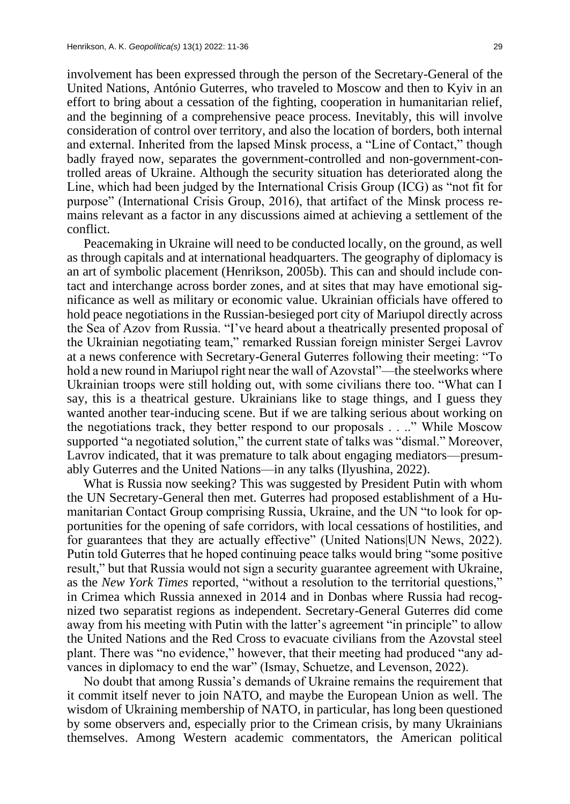involvement has been expressed through the person of the Secretary-General of the United Nations, António Guterres, who traveled to Moscow and then to Kyiv in an effort to bring about a cessation of the fighting, cooperation in humanitarian relief, and the beginning of a comprehensive peace process. Inevitably, this will involve consideration of control over territory, and also the location of borders, both internal and external. Inherited from the lapsed Minsk process, a "Line of Contact," though badly frayed now, separates the government-controlled and non-government-controlled areas of Ukraine. Although the security situation has deteriorated along the Line, which had been judged by the International Crisis Group (ICG) as "not fit for purpose" (International Crisis Group, 2016), that artifact of the Minsk process remains relevant as a factor in any discussions aimed at achieving a settlement of the conflict.

Peacemaking in Ukraine will need to be conducted locally, on the ground, as well as through capitals and at international headquarters. The geography of diplomacy is an art of symbolic placement (Henrikson, 2005b). This can and should include contact and interchange across border zones, and at sites that may have emotional significance as well as military or economic value. Ukrainian officials have offered to hold peace negotiations in the Russian-besieged port city of Mariupol directly across the Sea of Azov from Russia. "I've heard about a theatrically presented proposal of the Ukrainian negotiating team," remarked Russian foreign minister Sergei Lavrov at a news conference with Secretary-General Guterres following their meeting: "To hold a new round in Mariupol right near the wall of Azovstal"—the steelworks where Ukrainian troops were still holding out, with some civilians there too. "What can I say, this is a theatrical gesture. Ukrainians like to stage things, and I guess they wanted another tear-inducing scene. But if we are talking serious about working on the negotiations track, they better respond to our proposals . . .." While Moscow supported "a negotiated solution," the current state of talks was "dismal." Moreover, Lavrov indicated, that it was premature to talk about engaging mediators—presumably Guterres and the United Nations—in any talks (Ilyushina, 2022).

What is Russia now seeking? This was suggested by President Putin with whom the UN Secretary-General then met. Guterres had proposed establishment of a Humanitarian Contact Group comprising Russia, Ukraine, and the UN "to look for opportunities for the opening of safe corridors, with local cessations of hostilities, and for guarantees that they are actually effective" (United Nations|UN News, 2022). Putin told Guterres that he hoped continuing peace talks would bring "some positive result," but that Russia would not sign a security guarantee agreement with Ukraine, as the *New York Times* reported, "without a resolution to the territorial questions," in Crimea which Russia annexed in 2014 and in Donbas where Russia had recognized two separatist regions as independent. Secretary-General Guterres did come away from his meeting with Putin with the latter's agreement "in principle" to allow the United Nations and the Red Cross to evacuate civilians from the Azovstal steel plant. There was "no evidence," however, that their meeting had produced "any advances in diplomacy to end the war" (Ismay, Schuetze, and Levenson, 2022).

No doubt that among Russia's demands of Ukraine remains the requirement that it commit itself never to join NATO, and maybe the European Union as well. The wisdom of Ukraining membership of NATO, in particular, has long been questioned by some observers and, especially prior to the Crimean crisis, by many Ukrainians themselves. Among Western academic commentators, the American political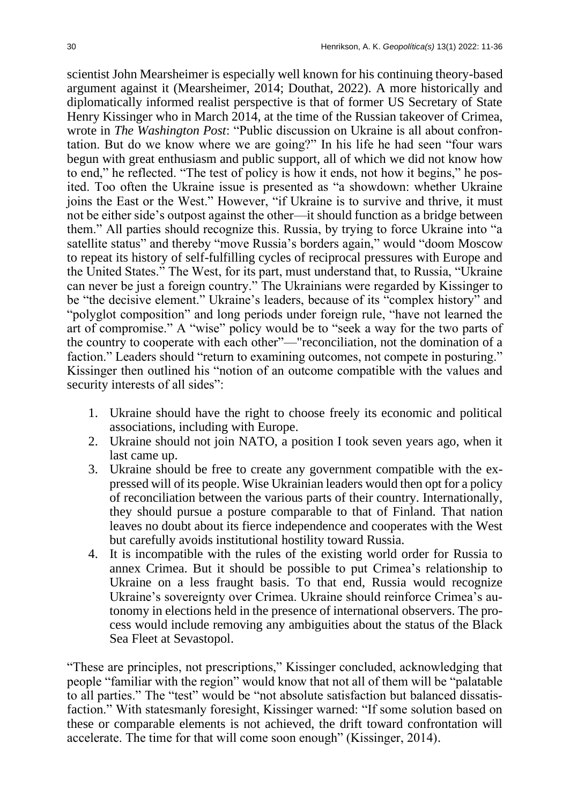scientist John Mearsheimer is especially well known for his continuing theory-based argument against it (Mearsheimer, 2014; Douthat, 2022). A more historically and diplomatically informed realist perspective is that of former US Secretary of State Henry Kissinger who in March 2014, at the time of the Russian takeover of Crimea, wrote in *The Washington Post*: "Public discussion on Ukraine is all about confrontation. But do we know where we are going?" In his life he had seen "four wars begun with great enthusiasm and public support, all of which we did not know how to end," he reflected. "The test of policy is how it ends, not how it begins," he posited. Too often the Ukraine issue is presented as "a showdown: whether Ukraine joins the East or the West." However, "if Ukraine is to survive and thrive, it must not be either side's outpost against the other—it should function as a bridge between them." All parties should recognize this. Russia, by trying to force Ukraine into "a satellite status" and thereby "move Russia's borders again," would "doom Moscow to repeat its history of self-fulfilling cycles of reciprocal pressures with Europe and the United States." The West, for its part, must understand that, to Russia, "Ukraine can never be just a foreign country." The Ukrainians were regarded by Kissinger to be "the decisive element." Ukraine's leaders, because of its "complex history" and "polyglot composition" and long periods under foreign rule, "have not learned the art of compromise." A "wise" policy would be to "seek a way for the two parts of the country to cooperate with each other"—"reconciliation, not the domination of a faction." Leaders should "return to examining outcomes, not compete in posturing." Kissinger then outlined his "notion of an outcome compatible with the values and security interests of all sides":

- 1. Ukraine should have the right to choose freely its economic and political associations, including with Europe.
- 2. Ukraine should not join NATO, a position I took seven years ago, when it last came up.
- 3. Ukraine should be free to create any government compatible with the expressed will of its people. Wise Ukrainian leaders would then opt for a policy of reconciliation between the various parts of their country. Internationally, they should pursue a posture comparable to that of Finland. That nation leaves no doubt about its fierce independence and cooperates with the West but carefully avoids institutional hostility toward Russia.
- 4. It is incompatible with the rules of the existing world order for Russia to annex Crimea. But it should be possible to put Crimea's relationship to Ukraine on a less fraught basis. To that end, Russia would recognize Ukraine's sovereignty over Crimea. Ukraine should reinforce Crimea's autonomy in elections held in the presence of international observers. The process would include removing any ambiguities about the status of the Black Sea Fleet at Sevastopol.

"These are principles, not prescriptions," Kissinger concluded, acknowledging that people "familiar with the region" would know that not all of them will be "palatable to all parties." The "test" would be "not absolute satisfaction but balanced dissatisfaction." With statesmanly foresight, Kissinger warned: "If some solution based on these or comparable elements is not achieved, the drift toward confrontation will accelerate. The time for that will come soon enough" (Kissinger, 2014).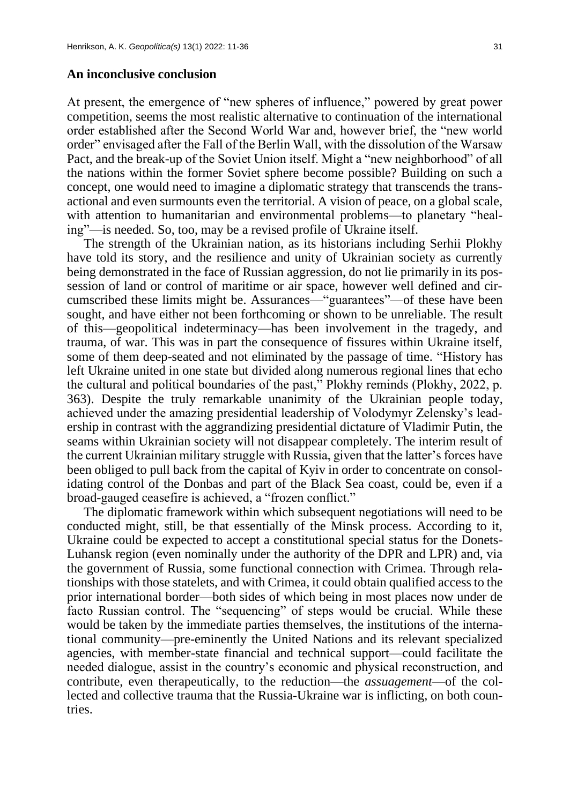#### **An inconclusive conclusion**

At present, the emergence of "new spheres of influence," powered by great power competition, seems the most realistic alternative to continuation of the international order established after the Second World War and, however brief, the "new world order" envisaged after the Fall of the Berlin Wall, with the dissolution of the Warsaw Pact, and the break-up of the Soviet Union itself. Might a "new neighborhood" of all the nations within the former Soviet sphere become possible? Building on such a concept, one would need to imagine a diplomatic strategy that transcends the transactional and even surmounts even the territorial. A vision of peace, on a global scale, with attention to humanitarian and environmental problems—to planetary "healing"—is needed. So, too, may be a revised profile of Ukraine itself.

The strength of the Ukrainian nation, as its historians including Serhii Plokhy have told its story, and the resilience and unity of Ukrainian society as currently being demonstrated in the face of Russian aggression, do not lie primarily in its possession of land or control of maritime or air space, however well defined and circumscribed these limits might be. Assurances—"guarantees"—of these have been sought, and have either not been forthcoming or shown to be unreliable. The result of this—geopolitical indeterminacy—has been involvement in the tragedy, and trauma, of war. This was in part the consequence of fissures within Ukraine itself, some of them deep-seated and not eliminated by the passage of time. "History has left Ukraine united in one state but divided along numerous regional lines that echo the cultural and political boundaries of the past," Plokhy reminds (Plokhy, 2022, p. 363). Despite the truly remarkable unanimity of the Ukrainian people today, achieved under the amazing presidential leadership of Volodymyr Zelensky's leadership in contrast with the aggrandizing presidential dictature of Vladimir Putin, the seams within Ukrainian society will not disappear completely. The interim result of the current Ukrainian military struggle with Russia, given that the latter's forces have been obliged to pull back from the capital of Kyiv in order to concentrate on consolidating control of the Donbas and part of the Black Sea coast, could be, even if a broad-gauged ceasefire is achieved, a "frozen conflict."

The diplomatic framework within which subsequent negotiations will need to be conducted might, still, be that essentially of the Minsk process. According to it, Ukraine could be expected to accept a constitutional special status for the Donets-Luhansk region (even nominally under the authority of the DPR and LPR) and, via the government of Russia, some functional connection with Crimea. Through relationships with those statelets, and with Crimea, it could obtain qualified access to the prior international border—both sides of which being in most places now under de facto Russian control. The "sequencing" of steps would be crucial. While these would be taken by the immediate parties themselves, the institutions of the international community—pre-eminently the United Nations and its relevant specialized agencies, with member-state financial and technical support—could facilitate the needed dialogue, assist in the country's economic and physical reconstruction, and contribute, even therapeutically, to the reduction—the *assuagement*—of the collected and collective trauma that the Russia-Ukraine war is inflicting, on both countries.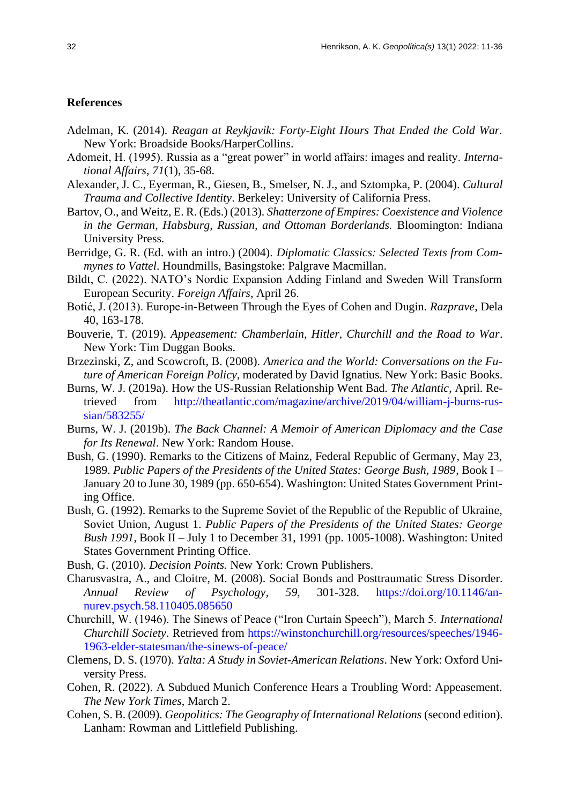#### **References**

- Adelman, K. (2014). *Reagan at Reykjavik: Forty-Eight Hours That Ended the Cold War.*  New York: Broadside Books/HarperCollins.
- Adomeit, H. (1995). Russia as a "great power" in world affairs: images and reality. *International Affairs*, *71*(1), 35-68.
- Alexander, J. C., Eyerman, R., Giesen, B., Smelser, N. J., and Sztompka, P. (2004). *Cultural Trauma and Collective Identity*. Berkeley: University of California Press.
- Bartov, O., and Weitz, E. R. (Eds.) (2013). *Shatterzone of Empires: Coexistence and Violence in the German, Habsburg, Russian, and Ottoman Borderlands.* Bloomington: Indiana University Press.
- Berridge, G. R. (Ed. with an intro.) (2004). *Diplomatic Classics: Selected Texts from Commynes to Vattel*. Houndmills, Basingstoke: Palgrave Macmillan.
- Bildt, C. (2022). NATO's Nordic Expansion Adding Finland and Sweden Will Transform European Security. *Foreign Affairs*, April 26.
- Botić, J. (2013). Europe-in-Between Through the Eyes of Cohen and Dugin. *Razprave*, Dela 40, 163-178.
- Bouverie, T. (2019). *Appeasement: Chamberlain, Hitler, Churchill and the Road to War*. New York: Tim Duggan Books.
- Brzezinski, Z, and Scowcroft, B. (2008). *America and the World: Conversations on the Future of American Foreign Policy*, moderated by David Ignatius. New York: Basic Books.
- Burns, W. J. (2019a). How the US-Russian Relationship Went Bad. *The Atlantic*, April. Retrieved from http://theatlantic.com/magazine/archive/2019/04/william-j-burns-russian/583255/
- Burns, W. J. (2019b). *The Back Channel: A Memoir of American Diplomacy and the Case for Its Renewal*. New York: Random House.
- Bush, G. (1990). Remarks to the Citizens of Mainz, Federal Republic of Germany, May 23, 1989. *Public Papers of the Presidents of the United States: George Bush, 1989*, Book I – January 20 to June 30, 1989 (pp. 650-654). Washington: United States Government Printing Office.
- Bush, G. (1992). Remarks to the Supreme Soviet of the Republic of the Republic of Ukraine, Soviet Union, August 1. *Public Papers of the Presidents of the United States: George Bush 1991*, Book II – July 1 to December 31, 1991 (pp. 1005-1008). Washington: United States Government Printing Office.
- Bush, G. (2010). *Decision Points.* New York: Crown Publishers.
- Charusvastra, A., and Cloitre, M. (2008). Social Bonds and Posttraumatic Stress Disorder. *Annual Review of Psychology*, *59*, 301-328. https://doi.org/10.1146/annurev.psych.58.110405.085650
- Churchill, W. (1946). The Sinews of Peace ("Iron Curtain Speech"), March 5. *International Churchill Society*. Retrieved from https://winstonchurchill.org/resources/speeches/1946- 1963-elder-statesman/the-sinews-of-peace/
- Clemens, D. S. (1970). *Yalta: A Study in Soviet-American Relations*. New York: Oxford University Press.
- Cohen, R. (2022). A Subdued Munich Conference Hears a Troubling Word: Appeasement. *The New York Times*, March 2.
- Cohen, S. B. (2009). *Geopolitics: The Geography of International Relations* (second edition). Lanham: Rowman and Littlefield Publishing.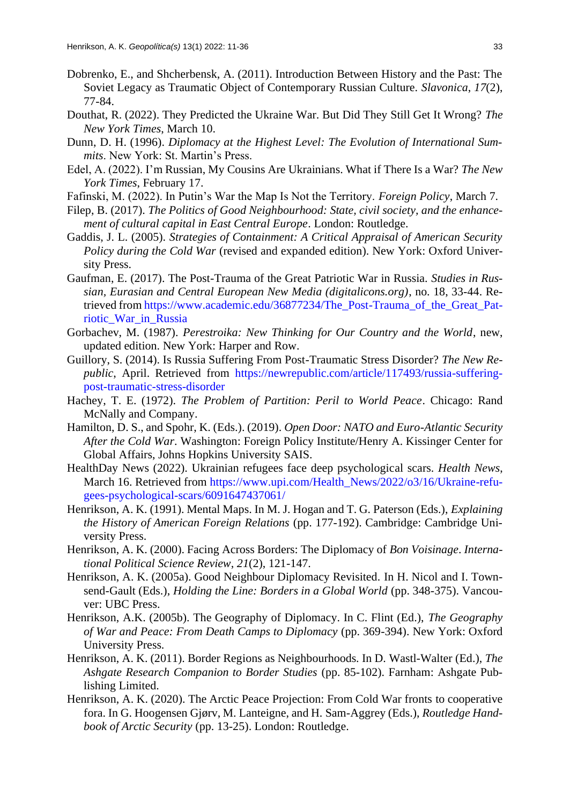- Dobrenko, E., and Shcherbensk, A. (2011). Introduction Between History and the Past: The Soviet Legacy as Traumatic Object of Contemporary Russian Culture. *Slavonica*, *17*(2), 77-84.
- Douthat, R. (2022). They Predicted the Ukraine War. But Did They Still Get It Wrong? *The New York Times*, March 10.
- Dunn, D. H. (1996). *Diplomacy at the Highest Level: The Evolution of International Summits*. New York: St. Martin's Press.
- Edel, A. (2022). I'm Russian, My Cousins Are Ukrainians. What if There Is a War? *The New York Times*, February 17.
- Fafinski, M. (2022). In Putin's War the Map Is Not the Territory. *Foreign Policy*, March 7.
- Filep, B. (2017). *The Politics of Good Neighbourhood: State, civil society, and the enhancement of cultural capital in East Central Europe*. London: Routledge.
- Gaddis, J. L. (2005). *Strategies of Containment: A Critical Appraisal of American Security Policy during the Cold War* (revised and expanded edition). New York: Oxford University Press.
- Gaufman, E. (2017). The Post-Trauma of the Great Patriotic War in Russia. *Studies in Russian, Eurasian and Central European New Media (digitalicons.org)*, no. 18, 33-44. Retrieved from https://www.academic.edu/36877234/The\_Post-Trauma\_of\_the\_Great\_Patriotic\_War\_in\_Russia
- Gorbachev, M. (1987). *Perestroika: New Thinking for Our Country and the World*, new, updated edition. New York: Harper and Row.
- Guillory, S. (2014). Is Russia Suffering From Post-Traumatic Stress Disorder? *The New Republic*, April. Retrieved from https://newrepublic.com/article/117493/russia-sufferingpost-traumatic-stress-disorder
- Hachey, T. E. (1972). *The Problem of Partition: Peril to World Peace*. Chicago: Rand McNally and Company.
- Hamilton, D. S., and Spohr, K. (Eds.). (2019). *Open Door: NATO and Euro-Atlantic Security After the Cold War*. Washington: Foreign Policy Institute/Henry A. Kissinger Center for Global Affairs, Johns Hopkins University SAIS.
- HealthDay News (2022). Ukrainian refugees face deep psychological scars. *Health News*, March 16. Retrieved from https://www.upi.com/Health\_News/2022/o3/16/Ukraine-refugees-psychological-scars/6091647437061/
- Henrikson, A. K. (1991). Mental Maps. In M. J. Hogan and T. G. Paterson (Eds.), *Explaining the History of American Foreign Relations* (pp. 177-192). Cambridge: Cambridge University Press.
- Henrikson, A. K. (2000). Facing Across Borders: The Diplomacy of *Bon Voisinage*. *International Political Science Review*, *21*(2), 121-147.
- Henrikson, A. K. (2005a). Good Neighbour Diplomacy Revisited. In H. Nicol and I. Townsend-Gault (Eds.), *Holding the Line: Borders in a Global World* (pp. 348-375). Vancouver: UBC Press.
- Henrikson, A.K. (2005b). The Geography of Diplomacy. In C. Flint (Ed.), *The Geography of War and Peace: From Death Camps to Diplomacy* (pp. 369-394). New York: Oxford University Press.
- Henrikson, A. K. (2011). Border Regions as Neighbourhoods. In D. Wastl-Walter (Ed.), *The Ashgate Research Companion to Border Studies* (pp. 85-102). Farnham: Ashgate Publishing Limited.
- Henrikson, A. K. (2020). The Arctic Peace Projection: From Cold War fronts to cooperative fora. In G. Hoogensen Gjørv, M. Lanteigne, and H. Sam-Aggrey (Eds.), *Routledge Handbook of Arctic Security* (pp. 13-25). London: Routledge.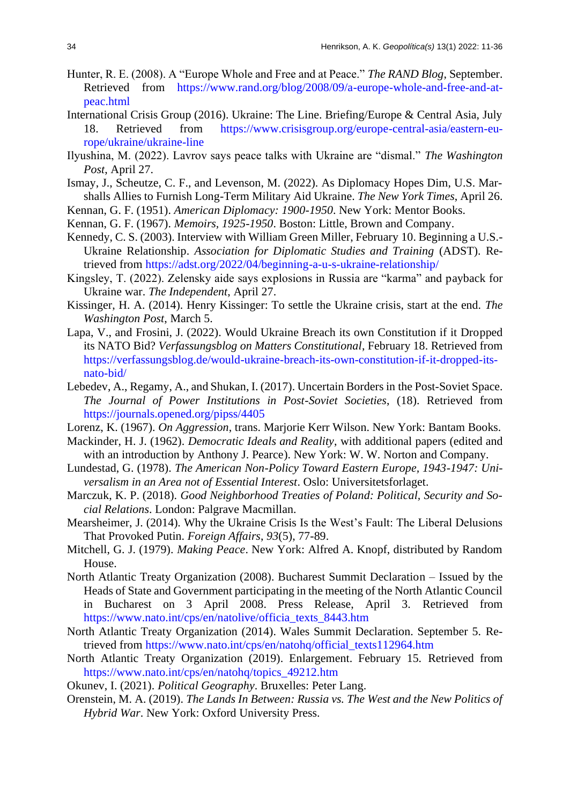- Hunter, R. E. (2008). A "Europe Whole and Free and at Peace." *The RAND Blog*, September. Retrieved from https://www.rand.org/blog/2008/09/a-europe-whole-and-free-and-atpeac.html
- International Crisis Group (2016). Ukraine: The Line. Briefing/Europe & Central Asia, July 18. Retrieved from https://www.crisisgroup.org/europe-central-asia/eastern-europe/ukraine/ukraine-line
- Ilyushina, M. (2022). Lavrov says peace talks with Ukraine are "dismal." *The Washington Post*, April 27.
- Ismay, J., Scheutze, C. F., and Levenson, M. (2022). As Diplomacy Hopes Dim, U.S. Marshalls Allies to Furnish Long-Term Military Aid Ukraine. *The New York Times*, April 26.
- Kennan, G. F. (1951). *American Diplomacy: 1900-1950*. New York: Mentor Books.
- Kennan, G. F. (1967). *Memoirs, 1925-1950*. Boston: Little, Brown and Company.
- Kennedy, C. S. (2003). Interview with William Green Miller, February 10. Beginning a U.S.- Ukraine Relationship. *Association for Diplomatic Studies and Training* (ADST). Retrieved from https://adst.org/2022/04/beginning-a-u-s-ukraine-relationship/
- Kingsley, T. (2022). Zelensky aide says explosions in Russia are "karma" and payback for Ukraine war. *The Independent*, April 27.
- Kissinger, H. A. (2014). Henry Kissinger: To settle the Ukraine crisis, start at the end. *The Washington Post*, March 5.
- Lapa, V., and Frosini, J. (2022). Would Ukraine Breach its own Constitution if it Dropped its NATO Bid? *Verfassungsblog on Matters Constitutional*, February 18. Retrieved from https://verfassungsblog.de/would-ukraine-breach-its-own-constitution-if-it-dropped-itsnato-bid/
- Lebedev, A., Regamy, A., and Shukan, I. (2017). Uncertain Borders in the Post-Soviet Space. *The Journal of Power Institutions in Post-Soviet Societies*, (18). Retrieved from https://journals.opened.org/pipss/4405
- Lorenz, K. (1967). *On Aggression*, trans. Marjorie Kerr Wilson. New York: Bantam Books.
- Mackinder, H. J. (1962). *Democratic Ideals and Reality*, with additional papers (edited and with an introduction by Anthony J. Pearce). New York: W. W. Norton and Company.
- Lundestad, G. (1978). *The American Non-Policy Toward Eastern Europe, 1943-1947: Universalism in an Area not of Essential Interest*. Oslo: Universitetsforlaget.
- Marczuk, K. P. (2018). *Good Neighborhood Treaties of Poland: Political, Security and Social Relations*. London: Palgrave Macmillan.
- Mearsheimer, J. (2014). Why the Ukraine Crisis Is the West's Fault: The Liberal Delusions That Provoked Putin. *Foreign Affairs*, *93*(5), 77-89.
- Mitchell, G. J. (1979). *Making Peace*. New York: Alfred A. Knopf, distributed by Random House.
- North Atlantic Treaty Organization (2008). Bucharest Summit Declaration Issued by the Heads of State and Government participating in the meeting of the North Atlantic Council in Bucharest on 3 April 2008. Press Release, April 3. Retrieved from https://www.nato.int/cps/en/natolive/officia\_texts\_8443.htm
- North Atlantic Treaty Organization (2014). Wales Summit Declaration. September 5. Retrieved from https://www.nato.int/cps/en/natohq/official\_texts112964.htm
- North Atlantic Treaty Organization (2019). Enlargement. February 15. Retrieved from https://www.nato.int/cps/en/natohq/topics\_49212.htm
- Okunev, I. (2021). *Political Geography*. Bruxelles: Peter Lang.
- Orenstein, M. A. (2019). *The Lands In Between: Russia vs. The West and the New Politics of Hybrid War*. New York: Oxford University Press.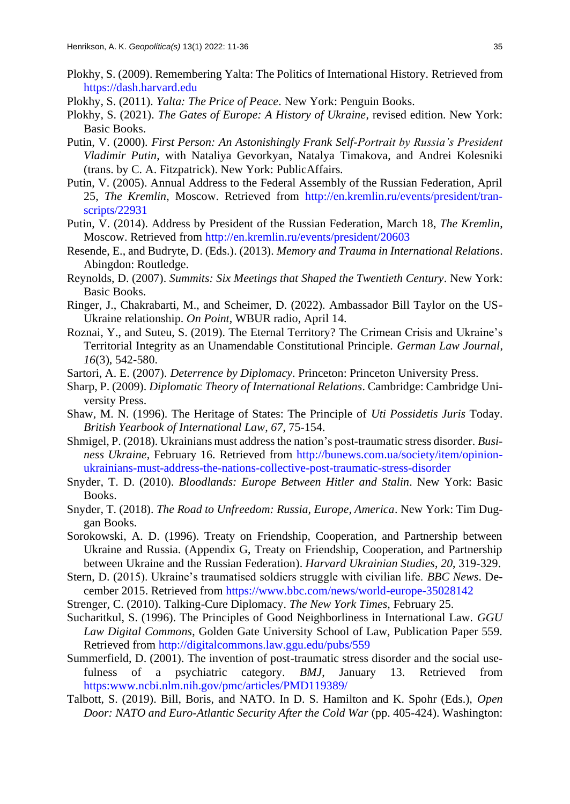- Plokhy, S. (2009). Remembering Yalta: The Politics of International History. Retrieved from https://dash.harvard.edu
- Plokhy, S. (2011). *Yalta: The Price of Peace*. New York: Penguin Books.
- Plokhy, S. (2021). *The Gates of Europe: A History of Ukraine*, revised edition. New York: Basic Books.
- Putin, V. (2000). *First Person: An Astonishingly Frank Self-Portrait by Russia's President Vladimir Putin*, with Nataliya Gevorkyan, Natalya Timakova, and Andrei Kolesniki (trans. by C. A. Fitzpatrick). New York: PublicAffairs.
- Putin, V. (2005). Annual Address to the Federal Assembly of the Russian Federation, April 25, *The Kremlin*, Moscow. Retrieved from http://en.kremlin.ru/events/president/transcripts/22931
- Putin, V. (2014). Address by President of the Russian Federation, March 18, *The Kremlin*, Moscow. Retrieved from http://en.kremlin.ru/events/president/20603
- Resende, E., and Budryte, D. (Eds.). (2013). *Memory and Trauma in International Relations*. Abingdon: Routledge.
- Reynolds, D. (2007). *Summits: Six Meetings that Shaped the Twentieth Century*. New York: Basic Books.
- Ringer, J., Chakrabarti, M., and Scheimer, D. (2022). Ambassador Bill Taylor on the US-Ukraine relationship. *On Point*, WBUR radio, April 14.
- Roznai, Y., and Suteu, S. (2019). The Eternal Territory? The Crimean Crisis and Ukraine's Territorial Integrity as an Unamendable Constitutional Principle. *German Law Journal*, *16*(3), 542-580.
- Sartori, A. E. (2007). *Deterrence by Diplomacy*. Princeton: Princeton University Press.
- Sharp, P. (2009). *Diplomatic Theory of International Relations*. Cambridge: Cambridge University Press.
- Shaw, M. N. (1996). The Heritage of States: The Principle of *Uti Possidetis Juris* Today. *British Yearbook of International Law*, *67*, 75-154.
- Shmigel, P. (2018). Ukrainians must address the nation's post-traumatic stress disorder. *Business Ukraine*, February 16. Retrieved from http://bunews.com.ua/society/item/opinionukrainians-must-address-the-nations-collective-post-traumatic-stress-disorder
- Snyder, T. D. (2010). *Bloodlands: Europe Between Hitler and Stalin*. New York: Basic Books.
- Snyder, T. (2018). *The Road to Unfreedom: Russia, Europe, America*. New York: Tim Duggan Books.
- Sorokowski, A. D. (1996). Treaty on Friendship, Cooperation, and Partnership between Ukraine and Russia. (Appendix G, Treaty on Friendship, Cooperation, and Partnership between Ukraine and the Russian Federation). *Harvard Ukrainian Studies*, *20*, 319-329.
- Stern, D. (2015). Ukraine's traumatised soldiers struggle with civilian life. *BBC News*. December 2015. Retrieved from https://www.bbc.com/news/world-europe-35028142
- Strenger, C. (2010). Talking-Cure Diplomacy. *The New York Times*, February 25.
- Sucharitkul, S. (1996). The Principles of Good Neighborliness in International Law. *GGU Law Digital Commons*, Golden Gate University School of Law, Publication Paper 559. Retrieved from http://digitalcommons.law.ggu.edu/pubs/559
- Summerfield, D. (2001). The invention of post-traumatic stress disorder and the social usefulness of a psychiatric category. *BMJ*, January 13. Retrieved from https:www.ncbi.nlm.nih.gov/pmc/articles/PMD119389/
- Talbott, S. (2019). Bill, Boris, and NATO. In D. S. Hamilton and K. Spohr (Eds.), *Open Door: NATO and Euro-Atlantic Security After the Cold War* (pp. 405-424). Washington: